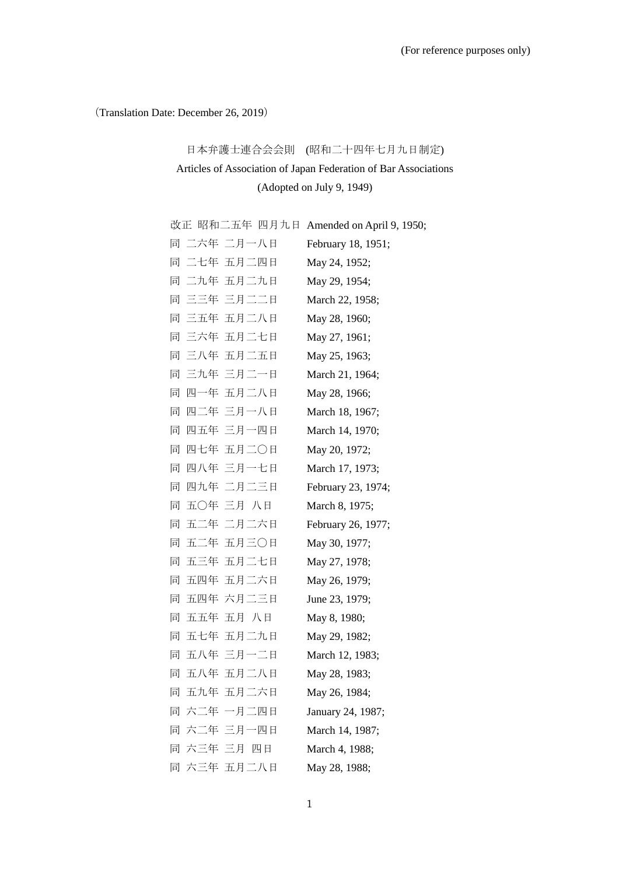(Translation Date: December 26, 2019)

# 日本弁護士連合会会則 (昭和二十四年七月九日制定) Articles of Association of Japan Federation of Bar Associations (Adopted on July 9, 1949)

|   |             | 改正 昭和二五年 四月九日 Amended on April 9, 1950; |
|---|-------------|-----------------------------------------|
|   | 同 二六年 二月一八日 | February 18, 1951;                      |
|   | 同 二七年 五月二四日 | May 24, 1952;                           |
|   | 同 二九年 五月二九日 | May 29, 1954;                           |
|   | 同 三三年 三月二二日 | March 22, 1958;                         |
|   | 同 三五年 五月二八日 | May 28, 1960;                           |
|   | 同 三六年 五月二七日 | May 27, 1961;                           |
|   | 同 三八年 五月二五日 | May 25, 1963;                           |
|   | 同 三九年 三月二一日 | March 21, 1964;                         |
|   | 同 四一年 五月二八日 | May 28, 1966;                           |
| 同 | 四二年 三月一八日   | March 18, 1967;                         |
|   | 同 四五年 三月一四日 | March 14, 1970;                         |
| 同 | 四七年 五月二〇日   | May 20, 1972;                           |
| 同 | 四八年 三月一七日   | March 17, 1973;                         |
| 同 | 四九年 二月二三日   | February 23, 1974;                      |
| 同 | 五〇年 三月 八日   | March 8, 1975;                          |
| 同 | 五二年 二月二六日   | February 26, 1977;                      |
| 同 | 五二年 五月三〇日   | May 30, 1977;                           |
| 同 | 五三年 五月二七日   | May 27, 1978;                           |
| 同 | 五四年 五月二六日   | May 26, 1979;                           |
| 同 | 五四年 六月二三日   | June 23, 1979;                          |
| 同 | 五五年 五月 八日   | May 8, 1980;                            |
|   | 同 五七年 五月二九日 | May 29, 1982;                           |
|   | 同 五八年 三月一二日 | March 12, 1983;                         |
|   | 同 五八年 五月二八日 | May 28, 1983;                           |
|   | 同 五九年 五月二六日 | May 26, 1984;                           |
|   | 同 六二年 一月二四日 | January 24, 1987;                       |
|   | 同 六二年 三月一四日 | March 14, 1987;                         |
|   | 同 六三年 三月 四日 | March 4, 1988;                          |
|   | 同 六三年 五月二八日 | May 28, 1988;                           |
|   |             |                                         |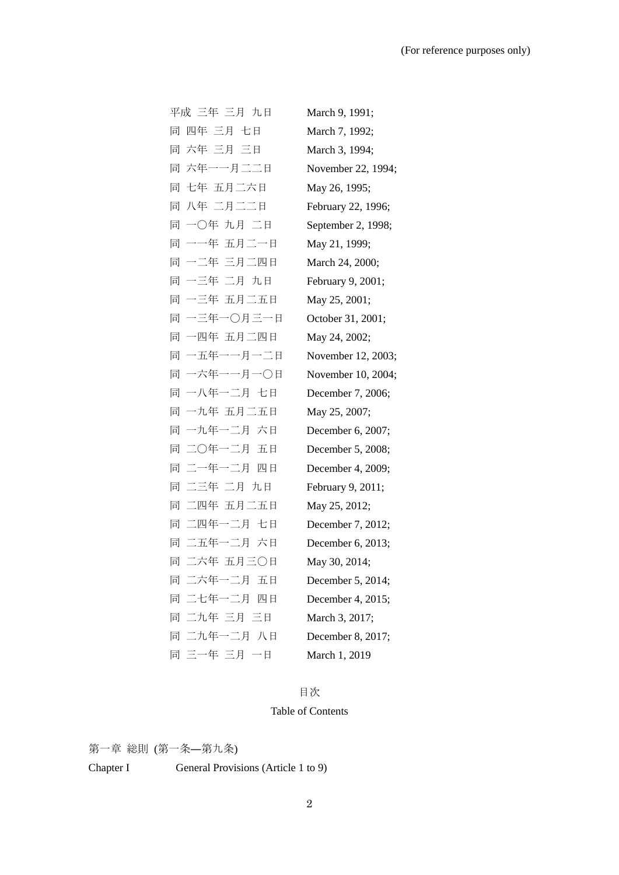| 平成 三年 三月 九日   | March 9, 1991;     |
|---------------|--------------------|
| 四年 三月 七日<br>同 | March 7, 1992;     |
| 同 六年 三月 三日    | March 3, 1994;     |
| 同 六年一一月二二日    | November 22, 1994; |
| 同 七年 五月二六日    | May 26, 1995;      |
| 同 八年 二月二二日    | February 22, 1996; |
| 同 一〇年 九月 二日   | September 2, 1998; |
| 同 一一年 五月二一日   | May 21, 1999;      |
| 同 一二年 三月二四日   | March 24, 2000;    |
| 同 一三年 二月 九日   | February 9, 2001;  |
| 同 一三年 五月二五日   | May 25, 2001;      |
| 同 一三年一〇月三一日   | October 31, 2001;  |
| 同 一四年 五月二四日   | May 24, 2002;      |
| 同 一五年一一月一二日   | November 12, 2003; |
| 同 一六年一一月一〇日   | November 10, 2004; |
| 同 一八年一二月 七日   | December 7, 2006;  |
| 同 一九年 五月二五日   | May 25, 2007;      |
| 同 一九年一二月 六日   | December 6, 2007;  |
| 同 二〇年一二月 五日   | December 5, 2008;  |
| 同 二一年一二月 四日   | December 4, 2009;  |
| 同 二三年 二月 九日   | February 9, 2011;  |
| 同 二四年 五月二五日   | May 25, 2012;      |
| 同 二四年一二月 七日   | December 7, 2012;  |
| 同 二五年一二月 六日   | December 6, 2013;  |
| 同 二六年 五月三〇日   | May 30, 2014;      |
| 同 二六年一二月 五日   | December 5, 2014;  |
| 同 二七年一二月 四日   | December 4, 2015;  |
| 同 二九年 三月 三日   | March 3, 2017;     |
| 同 二九年一二月 八日   | December 8, 2017;  |
| 同 三一年 三月 一日   | March 1, 2019      |

# 目次

# Table of Contents

第一章 総則 (第一条―第九条) Chapter I General Provisions (Article 1 to 9)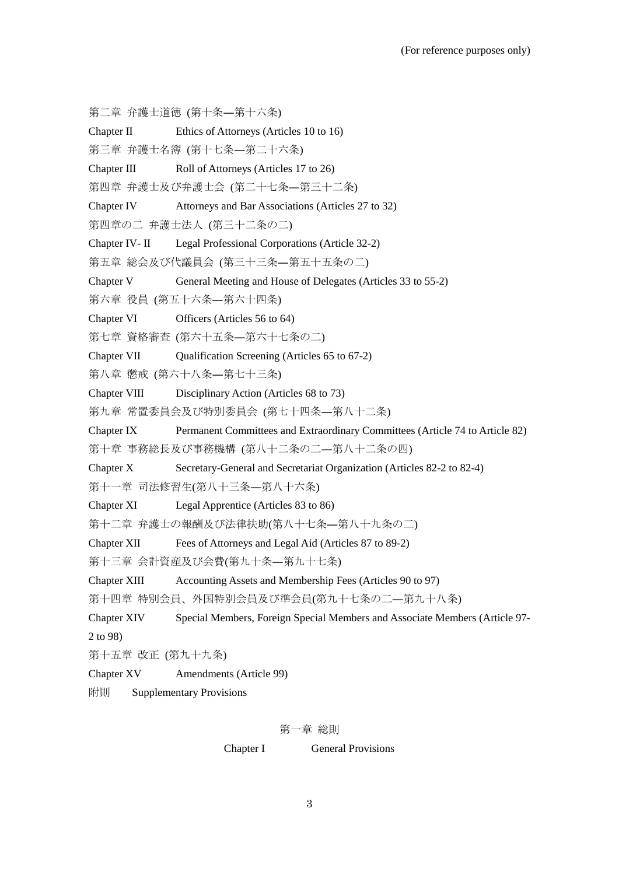- 第二章 弁護士道徳 (第十条―第十六条)
- Chapter Ⅱ Ethics of Attorneys (Articles 10 to 16)
- 第三章 弁護士名簿 (第十七条―第二十六条)
- Chapter Ⅲ Roll of Attorneys (Articles 17 to 26)
- 第四章 弁護士及び弁護士会 (第二十七条―第三十二条)
- Chapter Ⅳ Attorneys and Bar Associations (Articles 27 to 32)
- 第四章の二 弁護士法人 (第三十二条の二)
- Chapter Ⅳ- Ⅱ Legal Professional Corporations (Article 32-2)
- 第五章 総会及び代議員会 (第三十三条―第五十五条の二)
- Chapter V General Meeting and House of Delegates (Articles 33 to 55-2)
- 第六章 役員 (第五十六条―第六十四条)
- Chapter Ⅵ Officers (Articles 56 to 64)
- 第七章 資格審査 (第六十五条―第六十七条の二)
- Chapter VII Qualification Screening (Articles 65 to 67-2)
- 第八章 懲戒 (第六十八条―第七十三条)
- Chapter Ⅷ Disciplinary Action (Articles 68 to 73)
- 第九章 常置委員会及び特別委員会 (第七十四条―第八十二条)
- Chapter Ⅸ Permanent Committees and Extraordinary Committees (Article 74 to Article 82)
- 第十章 事務総長及び事務機構 (第八十二条の二―第八十二条の四)
- Chapter X Secretary-General and Secretariat Organization (Articles 82-2 to 82-4)
- 第十一章 司法修習生(第八十三条―第八十六条)
- Chapter Ⅺ Legal Apprentice (Articles 83 to 86)
- 第十二章 弁護士の報酬及び法律扶助(第八十七条―第八十九条の二)
- Chapter XII Fees of Attorneys and Legal Aid (Articles 87 to 89-2)
- 第十三章 会計資産及び会費(第九十条―第九十七条)
- Chapter XIII Accounting Assets and Membership Fees (Articles 90 to 97)
- 第十四章 特別会員、外国特別会員及び準会員(第九十七条の二―第九十八条)
- Chapter XIV Special Members, Foreign Special Members and Associate Members (Article 97- 2 to 98)
- 第十五章 改正 (第九十九条)
- Chapter XV Amendments (Article 99)
- 附則 Supplementary Provisions

#### 第一章 総則

Chapter I General Provisions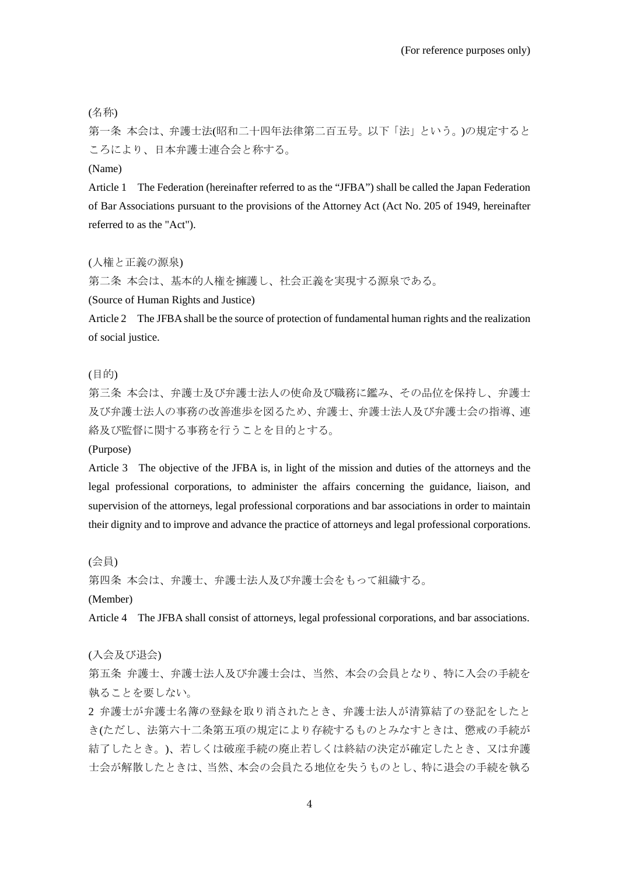(名称)

第一条 本会は、弁護士法(昭和二十四年法律第二百五号。以下「法」という。)の規定すると ころにより、日本弁護士連合会と称する。

(Name)

Article 1 The Federation (hereinafter referred to as the "JFBA") shall be called the Japan Federation of Bar Associations pursuant to the provisions of the Attorney Act (Act No. 205 of 1949, hereinafter referred to as the "Act").

(人権と正義の源泉)

第二条 本会は、基本的人権を擁護し、社会正義を実現する源泉である。

(Source of Human Rights and Justice)

Article 2 The JFBA shall be the source of protection of fundamental human rights and the realization of social justice.

(目的)

第三条 本会は、弁護士及び弁護士法人の使命及び職務に鑑み、その品位を保持し、弁護士 及び弁護士法人の事務の改善進歩を図るため、弁護士、弁護士法人及び弁護士会の指導、連 絡及び監督に関する事務を行うことを目的とする。

(Purpose)

Article 3 The objective of the JFBA is, in light of the mission and duties of the attorneys and the legal professional corporations, to administer the affairs concerning the guidance, liaison, and supervision of the attorneys, legal professional corporations and bar associations in order to maintain their dignity and to improve and advance the practice of attorneys and legal professional corporations.

(会員)

第四条 本会は、弁護士、弁護士法人及び弁護士会をもって組織する。

(Member)

Article 4 The JFBA shall consist of attorneys, legal professional corporations, and bar associations.

(入会及び退会)

第五条 弁護士、弁護士法人及び弁護士会は、当然、本会の会員となり、特に入会の手続を 執ることを要しない。

2 弁護士が弁護士名簿の登録を取り消されたとき、弁護士法人が清算結了の登記をしたと き(ただし、法第六十二条第五項の規定により存続するものとみなすときは、懲戒の手続が 結了したとき。)、若しくは破産手続の廃止若しくは終結の決定が確定したとき、又は弁護 士会が解散したときは、当然、本会の会員たる地位を失うものとし、特に退会の手続を執る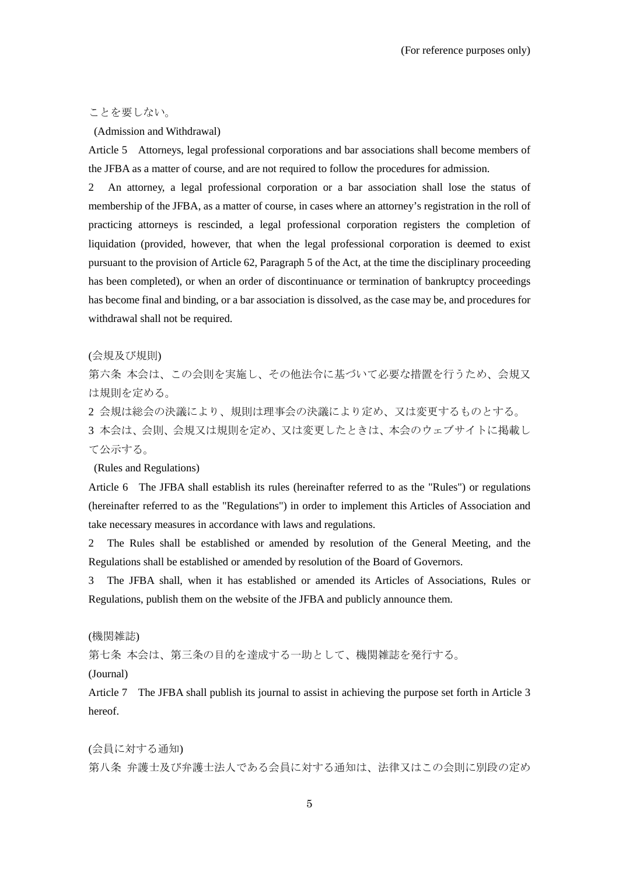# ことを要しない。

#### (Admission and Withdrawal)

Article 5 Attorneys, legal professional corporations and bar associations shall become members of the JFBA as a matter of course, and are not required to follow the procedures for admission.

2 An attorney, a legal professional corporation or a bar association shall lose the status of membership of the JFBA, as a matter of course, in cases where an attorney's registration in the roll of practicing attorneys is rescinded, a legal professional corporation registers the completion of liquidation (provided, however, that when the legal professional corporation is deemed to exist pursuant to the provision of Article 62, Paragraph 5 of the Act, at the time the disciplinary proceeding has been completed), or when an order of discontinuance or termination of bankruptcy proceedings has become final and binding, or a bar association is dissolved, as the case may be, and procedures for withdrawal shall not be required.

#### (会規及び規則)

第六条 本会は、この会則を実施し、その他法令に基づいて必要な措置を行うため、会規又 は規則を定める。

2 会規は総会の決議により、規則は理事会の決議により定め、又は変更するものとする。

3 本会は、会則、会規又は規則を定め、又は変更したときは、本会のウェブサイトに掲載し て公示する。

#### (Rules and Regulations)

Article 6 The JFBA shall establish its rules (hereinafter referred to as the "Rules") or regulations (hereinafter referred to as the "Regulations") in order to implement this Articles of Association and take necessary measures in accordance with laws and regulations.

2 The Rules shall be established or amended by resolution of the General Meeting, and the Regulations shall be established or amended by resolution of the Board of Governors.

3 The JFBA shall, when it has established or amended its Articles of Associations, Rules or Regulations, publish them on the website of the JFBA and publicly announce them.

(機関雑誌)

第七条 本会は、第三条の目的を達成する一助として、機関雑誌を発行する。

(Journal)

Article 7 The JFBA shall publish its journal to assist in achieving the purpose set forth in Article 3 hereof.

(会員に対する通知) 第八条 弁護士及び弁護士法人である会員に対する通知は、法律又はこの会則に別段の定め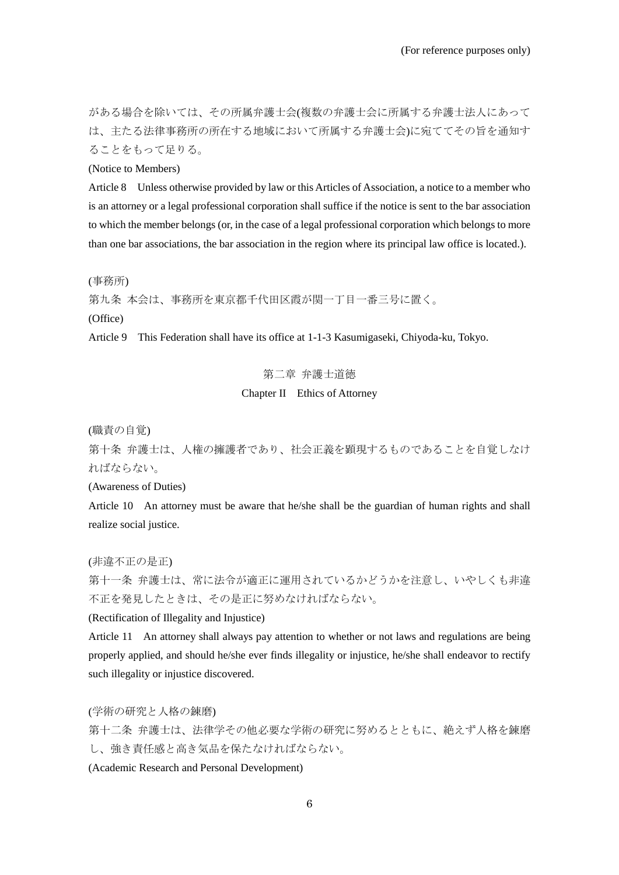がある場合を除いては、その所属弁護士会(複数の弁護士会に所属する弁護士法人にあって は、主たる法律事務所の所在する地域において所属する弁護士会)に宛ててその旨を通知す ることをもって足りる。

(Notice to Members)

Article 8 Unless otherwise provided by law or this Articles of Association, a notice to a member who is an attorney or a legal professional corporation shall suffice if the notice is sent to the bar association to which the member belongs (or, in the case of a legal professional corporation which belongs to more than one bar associations, the bar association in the region where its principal law office is located.).

(事務所)

第九条 本会は、事務所を東京都千代田区霞が関一丁目一番三号に置く。

(Office)

Article 9 This Federation shall have its office at 1-1-3 Kasumigaseki, Chiyoda-ku, Tokyo.

第二章 弁護士道徳

# Chapter II Ethics of Attorney

(職責の自覚)

第十条 弁護士は、人権の擁護者であり、社会正義を顕現するものであることを自覚しなけ ればならない。

(Awareness of Duties)

Article 10 An attorney must be aware that he/she shall be the guardian of human rights and shall realize social justice.

(非違不正の是正)

第十一条 弁護士は、常に法令が適正に運用されているかどうかを注意し、いやしくも非違 不正を発見したときは、その是正に努めなければならない。

(Rectification of Illegality and Injustice)

Article 11 An attorney shall always pay attention to whether or not laws and regulations are being properly applied, and should he/she ever finds illegality or injustice, he/she shall endeavor to rectify such illegality or injustice discovered.

(学術の研究と人格の錬磨)

第十二条 弁護士は、法律学その他必要な学術の研究に努めるとともに、絶えず人格を錬磨 し、強き責任感と高き気品を保たなければならない。

(Academic Research and Personal Development)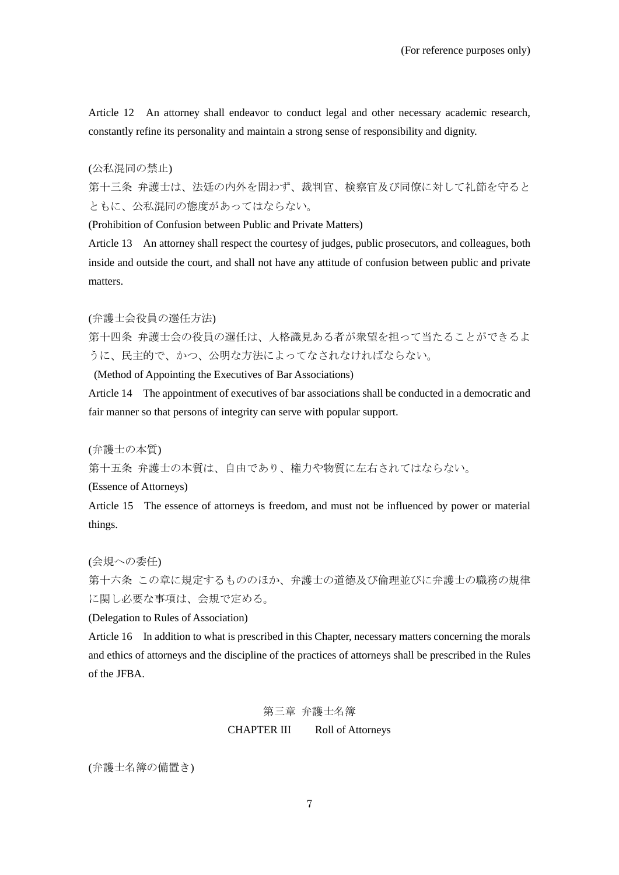Article 12 An attorney shall endeavor to conduct legal and other necessary academic research, constantly refine its personality and maintain a strong sense of responsibility and dignity.

#### (公私混同の禁止)

第十三条 弁護士は、法廷の内外を問わず、裁判官、検察官及び同僚に対して礼節を守ると ともに、公私混同の態度があってはならない。

(Prohibition of Confusion between Public and Private Matters)

Article 13 An attorney shall respect the courtesy of judges, public prosecutors, and colleagues, both inside and outside the court, and shall not have any attitude of confusion between public and private matters.

(弁護士会役員の選任方法)

第十四条 弁護士会の役員の選任は、人格識見ある者が衆望を担って当たることができるよ うに、民主的で、かつ、公明な方法によってなされなければならない。

(Method of Appointing the Executives of Bar Associations)

Article 14 The appointment of executives of bar associations shall be conducted in a democratic and fair manner so that persons of integrity can serve with popular support.

(弁護士の本質)

第十五条 弁護士の本質は、自由であり、権力や物質に左右されてはならない。

(Essence of Attorneys)

Article 15 The essence of attorneys is freedom, and must not be influenced by power or material things.

(会規への委任)

第十六条 この章に規定するもののほか、弁護士の道徳及び倫理並びに弁護士の職務の規律 に関し必要な事項は、会規で定める。

(Delegation to Rules of Association)

Article 16 In addition to what is prescribed in this Chapter, necessary matters concerning the morals and ethics of attorneys and the discipline of the practices of attorneys shall be prescribed in the Rules of the JFBA.

# 第三章 弁護士名簿

CHAPTER III Roll of Attorneys

(弁護士名簿の備置き)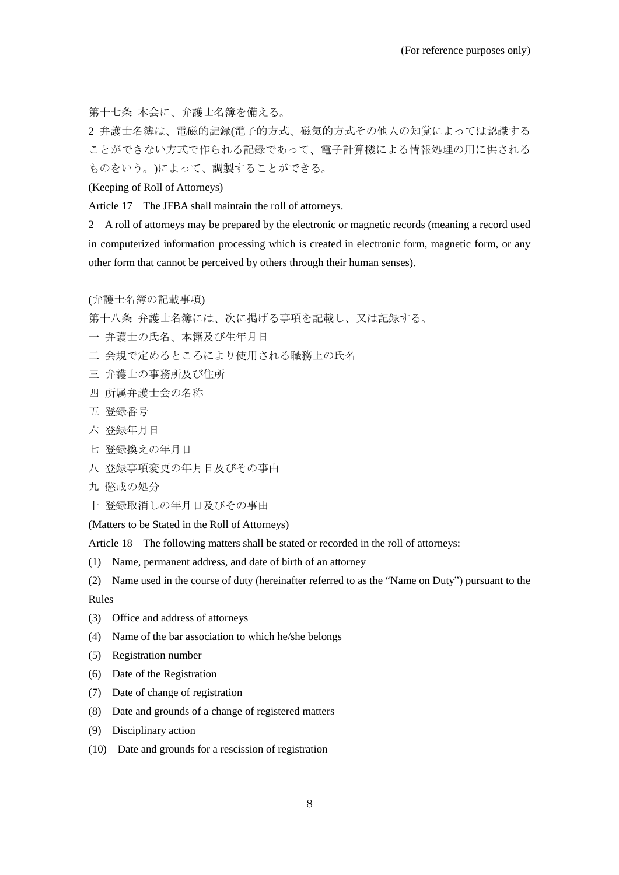第十七条 本会に、弁護士名簿を備える。

2 弁護士名簿は、電磁的記録(電子的方式、磁気的方式その他人の知覚によっては認識する ことができない方式で作られる記録であって、電子計算機による情報処理の用に供される ものをいう。)によって、調製することができる。

(Keeping of Roll of Attorneys)

Article 17 The JFBA shall maintain the roll of attorneys.

2 A roll of attorneys may be prepared by the electronic or magnetic records (meaning a record used in computerized information processing which is created in electronic form, magnetic form, or any other form that cannot be perceived by others through their human senses).

(弁護士名簿の記載事項)

第十八条 弁護士名簿には、次に掲げる事項を記載し、又は記録する。

- 一 弁護士の氏名、本籍及び生年月日
- 二 会規で定めるところにより使用される職務上の氏名
- 三 弁護士の事務所及び住所
- 四 所属弁護士会の名称
- 五 登録番号
- 六 登録年月日
- 七 登録換えの年月日
- 八 登録事項変更の年月日及びその事由
- 九 懲戒の処分
- 十 登録取消しの年月日及びその事由

(Matters to be Stated in the Roll of Attorneys)

Article 18 The following matters shall be stated or recorded in the roll of attorneys:

- (1) Name, permanent address, and date of birth of an attorney
- (2) Name used in the course of duty (hereinafter referred to as the "Name on Duty") pursuant to the

Rules

- (3) Office and address of attorneys
- (4) Name of the bar association to which he/she belongs
- (5) Registration number
- (6) Date of the Registration
- (7) Date of change of registration
- (8) Date and grounds of a change of registered matters
- (9) Disciplinary action
- (10) Date and grounds for a rescission of registration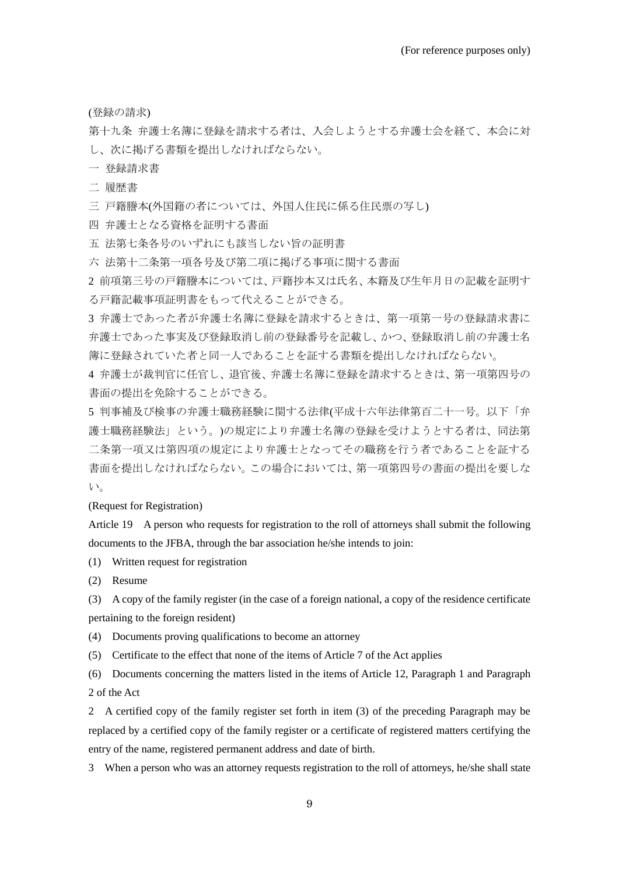(登録の請求)

第十九条 弁護士名簿に登録を請求する者は、入会しようとする弁護士会を経て、本会に対 し、次に掲げる書類を提出しなければならない。

一 登録請求書

二 履歴書

三 戸籍謄本(外国籍の者については、外国人住民に係る住民票の写し)

四 弁護士となる資格を証明する書面

五 法第七条各号のいずれにも該当しない旨の証明書

六 法第十二条第一項各号及び第二項に掲げる事項に関する書面

2 前項第三号の戸籍謄本については、戸籍抄本又は氏名、本籍及び生年月日の記載を証明す る戸籍記載事項証明書をもって代えることができる。

3 弁護士であった者が弁護士名簿に登録を請求するときは、第一項第一号の登録請求書に 弁護士であった事実及び登録取消し前の登録番号を記載し、かつ、登録取消し前の弁護士名 簿に登録されていた者と同一人であることを証する書類を提出しなければならない。

4 弁護士が裁判官に任官し、退官後、弁護士名簿に登録を請求するときは、第一項第四号の 書面の提出を免除することができる。

5 判事補及び検事の弁護士職務経験に関する法律(平成十六年法律第百二十一号。以下「弁 護士職務経験法」という。)の規定により弁護士名簿の登録を受けようとする者は、同法第 二条第一項又は第四項の規定により弁護士となってその職務を行う者であることを証する 書面を提出しなければならない。この場合においては、第一項第四号の書面の提出を要しな い。

(Request for Registration)

Article 19 A person who requests for registration to the roll of attorneys shall submit the following documents to the JFBA, through the bar association he/she intends to join:

(1) Written request for registration

(2) Resume

(3) A copy of the family register (in the case of a foreign national, a copy of the residence certificate

pertaining to the foreign resident)

(4) Documents proving qualifications to become an attorney

(5) Certificate to the effect that none of the items of Article 7 of the Act applies

(6) Documents concerning the matters listed in the items of Article 12, Paragraph 1 and Paragraph 2 of the Act

2 A certified copy of the family register set forth in item (3) of the preceding Paragraph may be replaced by a certified copy of the family register or a certificate of registered matters certifying the entry of the name, registered permanent address and date of birth.

3 When a person who was an attorney requests registration to the roll of attorneys, he/she shall state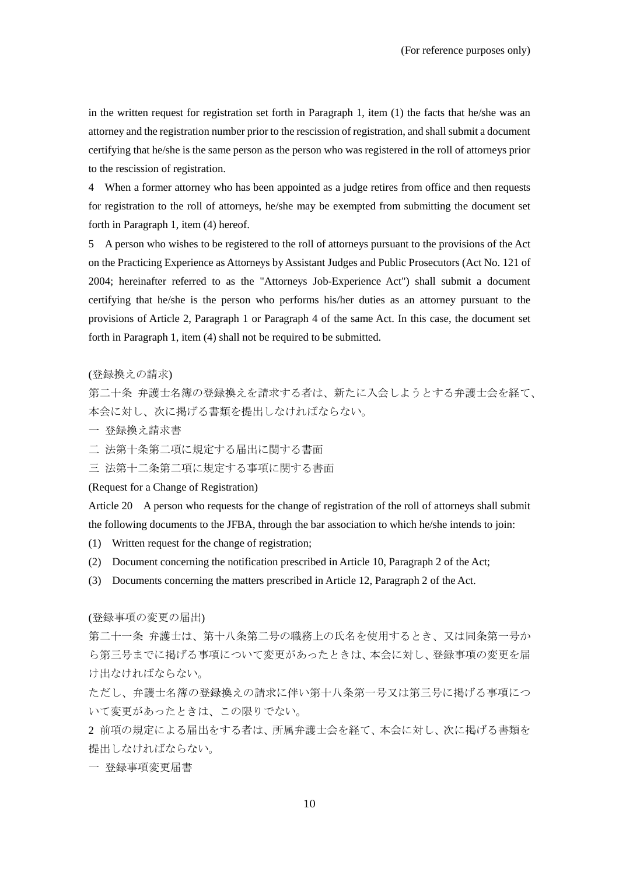in the written request for registration set forth in Paragraph 1, item (1) the facts that he/she was an attorney and the registration number prior to the rescission of registration, and shall submit a document certifying that he/she is the same person as the person who was registered in the roll of attorneys prior to the rescission of registration.

4 When a former attorney who has been appointed as a judge retires from office and then requests for registration to the roll of attorneys, he/she may be exempted from submitting the document set forth in Paragraph 1, item (4) hereof.

5 A person who wishes to be registered to the roll of attorneys pursuant to the provisions of the Act on the Practicing Experience as Attorneys by Assistant Judges and Public Prosecutors (Act No. 121 of 2004; hereinafter referred to as the "Attorneys Job-Experience Act") shall submit a document certifying that he/she is the person who performs his/her duties as an attorney pursuant to the provisions of Article 2, Paragraph 1 or Paragraph 4 of the same Act. In this case, the document set forth in Paragraph 1, item (4) shall not be required to be submitted.

#### (登録換えの請求)

第二十条 弁護士名簿の登録換えを請求する者は、新たに入会しようとする弁護士会を経て、 本会に対し、次に掲げる書類を提出しなければならない。

- 一 登録換え請求書
- 二 法第十条第二項に規定する届出に関する書面

三 法第十二条第二項に規定する事項に関する書面

(Request for a Change of Registration)

Article 20 A person who requests for the change of registration of the roll of attorneys shall submit the following documents to the JFBA, through the bar association to which he/she intends to join:

- (1) Written request for the change of registration;
- (2) Document concerning the notification prescribed in Article 10, Paragraph 2 of the Act;
- (3) Documents concerning the matters prescribed in Article 12, Paragraph 2 of the Act.

(登録事項の変更の届出)

第二十一条 弁護士は、第十八条第二号の職務上の氏名を使用するとき、又は同条第一号か ら第三号までに掲げる事項について変更があったときは、本会に対し、登録事項の変更を届 け出なければならない。

ただし、弁護士名簿の登録換えの請求に伴い第十八条第一号又は第三号に掲げる事項につ いて変更があったときは、この限りでない。

2 前項の規定による届出をする者は、所属弁護士会を経て、本会に対し、次に掲げる書類を 提出しなければならない。

一 登録事項変更届書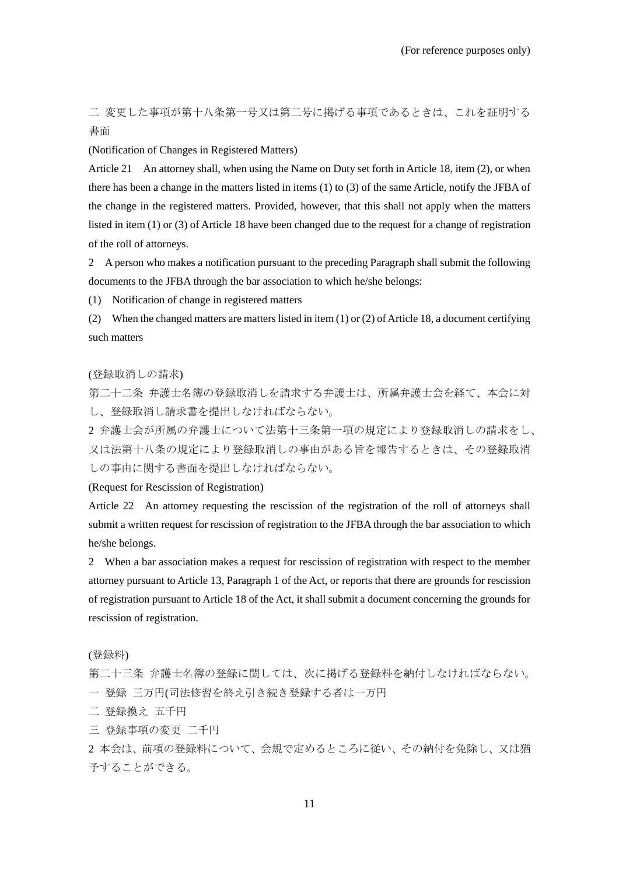二 変更した事項が第十八条第一号又は第二号に掲げる事項であるときは、これを証明する 書面

#### (Notification of Changes in Registered Matters)

Article 21 An attorney shall, when using the Name on Duty set forth in Article 18, item (2), or when there has been a change in the matters listed in items (1) to (3) of the same Article, notify the JFBA of the change in the registered matters. Provided, however, that this shall not apply when the matters listed in item (1) or (3) of Article 18 have been changed due to the request for a change of registration of the roll of attorneys.

2 A person who makes a notification pursuant to the preceding Paragraph shall submit the following documents to the JFBA through the bar association to which he/she belongs:

(1) Notification of change in registered matters

(2) When the changed matters are matters listed in item (1) or (2) of Article 18, a document certifying such matters

# (登録取消しの請求)

第二十二条 弁護士名簿の登録取消しを請求する弁護士は、所属弁護士会を経て、本会に対 し、登録取消し請求書を提出しなければならない。

2 弁護士会が所属の弁護士について法第十三条第一項の規定により登録取消しの請求をし、 又は法第十八条の規定により登録取消しの事由がある旨を報告するときは、その登録取消 しの事由に関する書面を提出しなければならない。

# (Request for Rescission of Registration)

Article 22 An attorney requesting the rescission of the registration of the roll of attorneys shall submit a written request for rescission of registration to the JFBA through the bar association to which he/she belongs.

2 When a bar association makes a request for rescission of registration with respect to the member attorney pursuant to Article 13, Paragraph 1 of the Act, or reports that there are grounds for rescission of registration pursuant to Article 18 of the Act, it shall submit a document concerning the grounds for rescission of registration.

#### (登録料)

第二十三条 弁護士名簿の登録に関しては、次に掲げる登録料を納付しなければならない。 一 登録 三万円(司法修習を終え引き続き登録する者は一万円

- 二 登録換え 五千円
- 三 登録事項の変更 二千円

2 本会は、前項の登録料について、会規で定めるところに従い、その納付を免除し、又は猶 予することができる。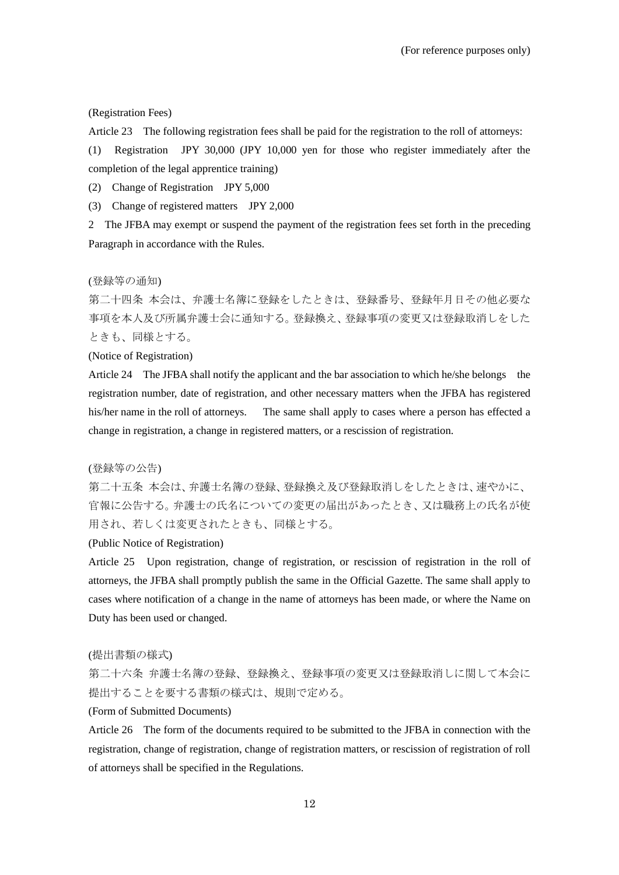#### (Registration Fees)

Article 23 The following registration fees shall be paid for the registration to the roll of attorneys:

(1) Registration JPY 30,000 (JPY 10,000 yen for those who register immediately after the completion of the legal apprentice training)

(2) Change of Registration JPY 5,000

(3) Change of registered matters JPY 2,000

2 The JFBA may exempt or suspend the payment of the registration fees set forth in the preceding Paragraph in accordance with the Rules.

# (登録等の通知)

第二十四条 本会は、弁護士名簿に登録をしたときは、登録番号、登録年月日その他必要な 事項を本人及び所属弁護士会に通知する。登録換え、登録事項の変更又は登録取消しをした ときも、同様とする。

#### (Notice of Registration)

Article 24 The JFBA shall notify the applicant and the bar association to which he/she belongs the registration number, date of registration, and other necessary matters when the JFBA has registered his/her name in the roll of attorneys. The same shall apply to cases where a person has effected a change in registration, a change in registered matters, or a rescission of registration.

#### (登録等の公告)

第二十五条 本会は、弁護士名簿の登録、登録換え及び登録取消しをしたときは、速やかに、 官報に公告する。弁護士の氏名についての変更の届出があったとき、又は職務上の氏名が使 用され、若しくは変更されたときも、同様とする。

## (Public Notice of Registration)

Article 25 Upon registration, change of registration, or rescission of registration in the roll of attorneys, the JFBA shall promptly publish the same in the Official Gazette. The same shall apply to cases where notification of a change in the name of attorneys has been made, or where the Name on Duty has been used or changed.

#### (提出書類の様式)

第二十六条 弁護士名簿の登録、登録換え、登録事項の変更又は登録取消しに関して本会に 提出することを要する書類の様式は、規則で定める。

# (Form of Submitted Documents)

Article 26 The form of the documents required to be submitted to the JFBA in connection with the registration, change of registration, change of registration matters, or rescission of registration of roll of attorneys shall be specified in the Regulations.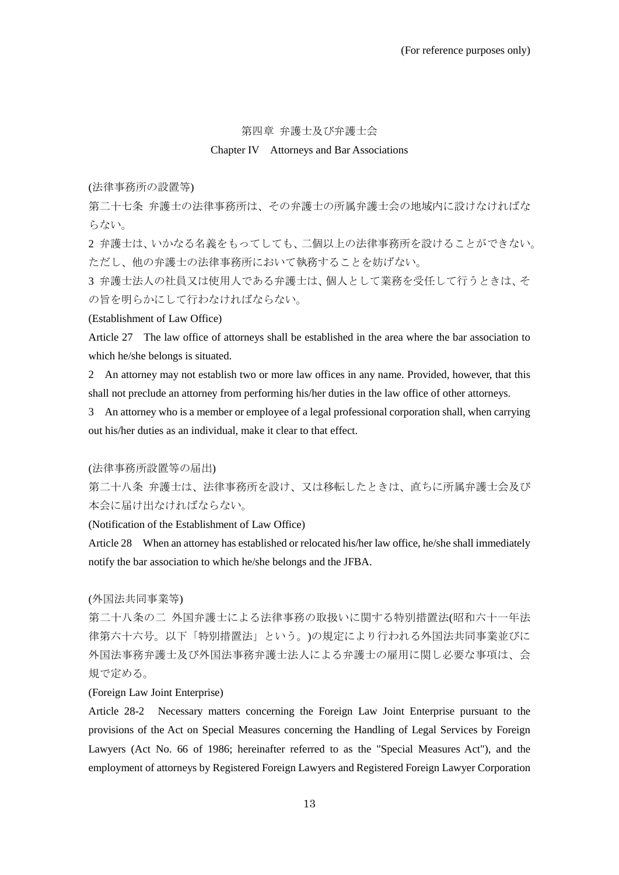#### 第四章 弁護士及び弁護士会

# Chapter IV Attorneys and Bar Associations

(法律事務所の設置等)

第二十七条 弁護士の法律事務所は、その弁護士の所属弁護士会の地域内に設けなければな らない。

2 弁護士は、いかなる名義をもってしても、二個以上の法律事務所を設けることができない。 ただし、他の弁護士の法律事務所において執務することを妨げない。

3 弁護士法人の社員又は使用人である弁護士は、個人として業務を受任して行うときは、そ の旨を明らかにして行わなければならない。

(Establishment of Law Office)

Article 27 The law office of attorneys shall be established in the area where the bar association to which he/she belongs is situated.

2 An attorney may not establish two or more law offices in any name. Provided, however, that this shall not preclude an attorney from performing his/her duties in the law office of other attorneys.

3 An attorney who is a member or employee of a legal professional corporation shall, when carrying out his/her duties as an individual, make it clear to that effect.

(法律事務所設置等の届出)

第二十八条 弁護士は、法律事務所を設け、又は移転したときは、直ちに所属弁護士会及び 本会に届け出なければならない。

(Notification of the Establishment of Law Office)

Article 28 When an attorney has established or relocated his/her law office, he/she shall immediately notify the bar association to which he/she belongs and the JFBA.

(外国法共同事業等)

第二十八条の二 外国弁護士による法律事務の取扱いに関する特別措置法(昭和六十一年法 律第六十六号。以下「特別措置法」という。)の規定により行われる外国法共同事業並びに 外国法事務弁護士及び外国法事務弁護士法人による弁護士の雇用に関し必要な事項は、会 規で定める。

(Foreign Law Joint Enterprise)

Article 28-2 Necessary matters concerning the Foreign Law Joint Enterprise pursuant to the provisions of the Act on Special Measures concerning the Handling of Legal Services by Foreign Lawyers (Act No. 66 of 1986; hereinafter referred to as the "Special Measures Act"), and the employment of attorneys by Registered Foreign Lawyers and Registered Foreign Lawyer Corporation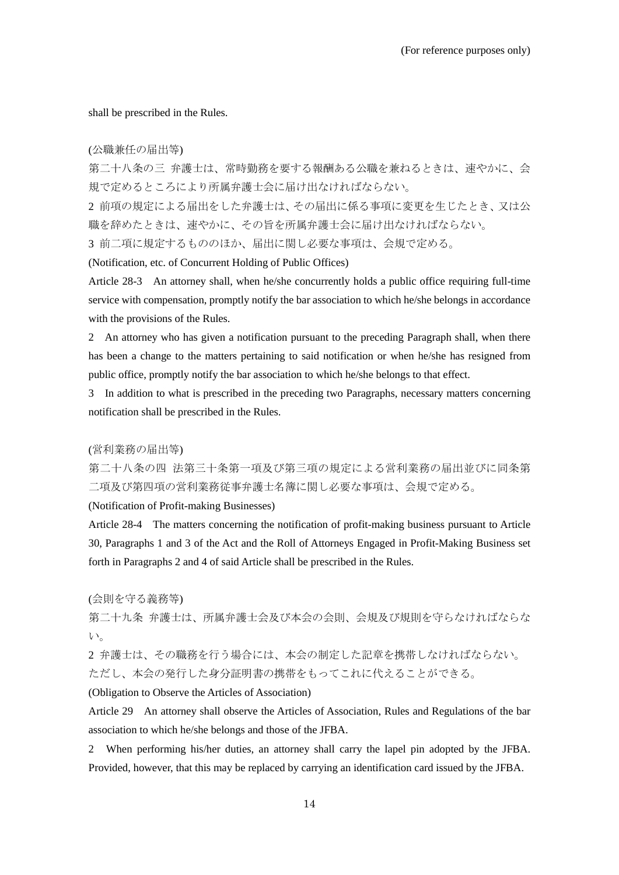shall be prescribed in the Rules.

#### (公職兼任の届出等)

第二十八条の三 弁護士は、常時勤務を要する報酬ある公職を兼ねるときは、速やかに、会 規で定めるところにより所属弁護士会に届け出なければならない。

2 前項の規定による届出をした弁護士は、その届出に係る事項に変更を生じたとき、又は公 職を辞めたときは、速やかに、その旨を所属弁護士会に届け出なければならない。

3 前二項に規定するもののほか、届出に関し必要な事項は、会規で定める。

(Notification, etc. of Concurrent Holding of Public Offices)

Article 28-3 An attorney shall, when he/she concurrently holds a public office requiring full-time service with compensation, promptly notify the bar association to which he/she belongs in accordance with the provisions of the Rules.

2 An attorney who has given a notification pursuant to the preceding Paragraph shall, when there has been a change to the matters pertaining to said notification or when he/she has resigned from public office, promptly notify the bar association to which he/she belongs to that effect.

3 In addition to what is prescribed in the preceding two Paragraphs, necessary matters concerning notification shall be prescribed in the Rules.

# (営利業務の届出等)

第二十八条の四 法第三十条第一項及び第三項の規定による営利業務の届出並びに同条第 二項及び第四項の営利業務従事弁護士名簿に関し必要な事項は、会規で定める。

(Notification of Profit-making Businesses)

Article 28-4 The matters concerning the notification of profit-making business pursuant to Article 30, Paragraphs 1 and 3 of the Act and the Roll of Attorneys Engaged in Profit-Making Business set forth in Paragraphs 2 and 4 of said Article shall be prescribed in the Rules.

(会則を守る義務等)

第二十九条 弁護士は、所属弁護士会及び本会の会則、会規及び規則を守らなければならな い。

2 弁護士は、その職務を行う場合には、本会の制定した記章を携帯しなければならない。 ただし、本会の発行した身分証明書の携帯をもってこれに代えることができる。

(Obligation to Observe the Articles of Association)

Article 29 An attorney shall observe the Articles of Association, Rules and Regulations of the bar association to which he/she belongs and those of the JFBA.

2 When performing his/her duties, an attorney shall carry the lapel pin adopted by the JFBA. Provided, however, that this may be replaced by carrying an identification card issued by the JFBA.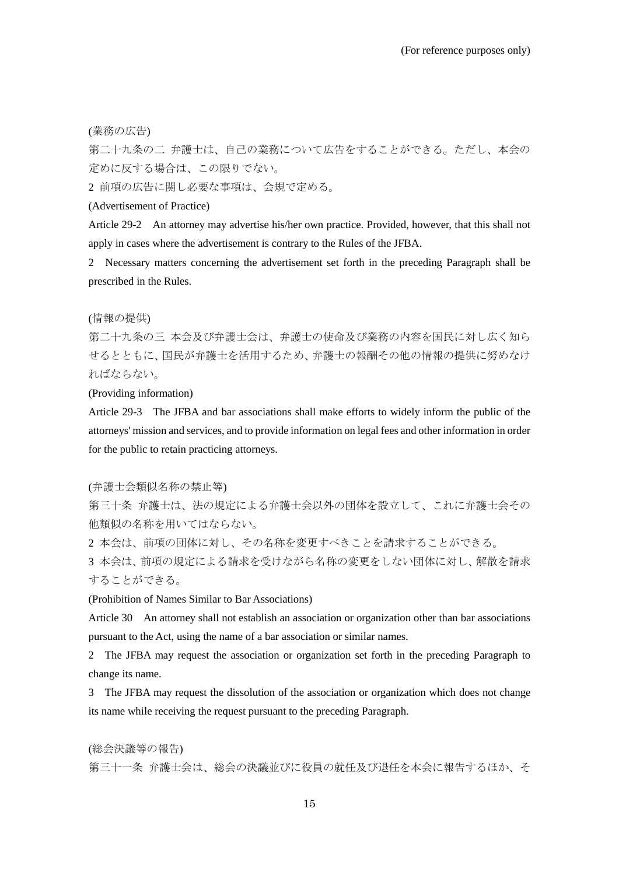(業務の広告)

第二十九条の二 弁護士は、自己の業務について広告をすることができる。ただし、本会の 定めに反する場合は、この限りでない。

2 前項の広告に関し必要な事項は、会規で定める。

# (Advertisement of Practice)

Article 29-2 An attorney may advertise his/her own practice. Provided, however, that this shall not apply in cases where the advertisement is contrary to the Rules of the JFBA.

2 Necessary matters concerning the advertisement set forth in the preceding Paragraph shall be prescribed in the Rules.

# (情報の提供)

第二十九条の三 本会及び弁護士会は、弁護士の使命及び業務の内容を国民に対し広く知ら せるとともに、国民が弁護士を活用するため、弁護士の報酬その他の情報の提供に努めなけ ればならない。

(Providing information)

Article 29-3 The JFBA and bar associations shall make efforts to widely inform the public of the attorneys' mission and services, and to provide information on legal fees and other information in order for the public to retain practicing attorneys.

#### (弁護士会類似名称の禁止等)

第三十条 弁護士は、法の規定による弁護士会以外の団体を設立して、これに弁護士会その 他類似の名称を用いてはならない。

2 本会は、前項の団体に対し、その名称を変更すべきことを請求することができる。

3 本会は、前項の規定による請求を受けながら名称の変更をしない団体に対し、解散を請求 することができる。

(Prohibition of Names Similar to Bar Associations)

Article 30 An attorney shall not establish an association or organization other than bar associations pursuant to the Act, using the name of a bar association or similar names.

2 The JFBA may request the association or organization set forth in the preceding Paragraph to change its name.

3 The JFBA may request the dissolution of the association or organization which does not change its name while receiving the request pursuant to the preceding Paragraph.

(総会決議等の報告) 第三十一条 弁護士会は、総会の決議並びに役員の就任及び退任を本会に報告するほか、そ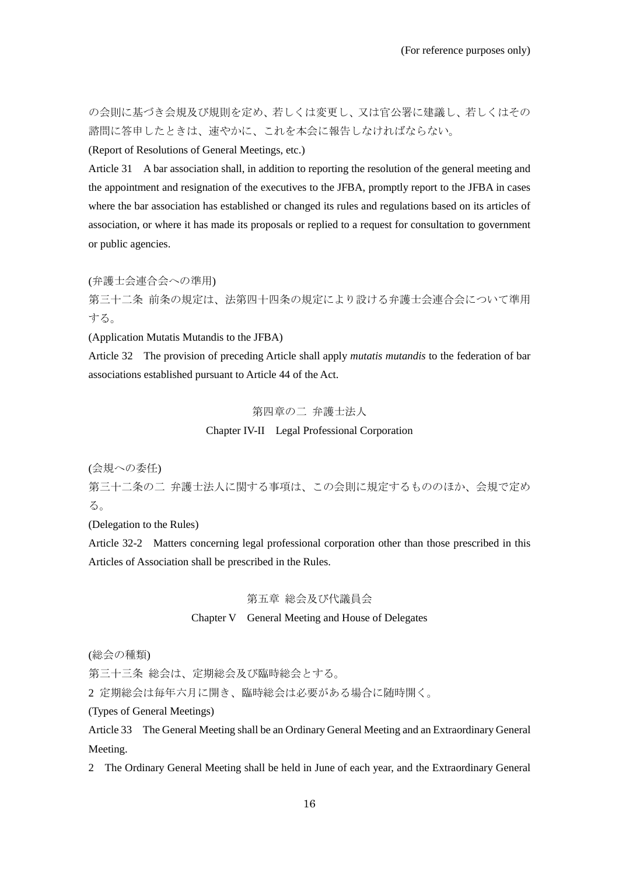の会則に基づき会規及び規則を定め、若しくは変更し、又は官公署に建議し、若しくはその 諮問に答申したときは、速やかに、これを本会に報告しなければならない。

(Report of Resolutions of General Meetings, etc.)

Article 31 A bar association shall, in addition to reporting the resolution of the general meeting and the appointment and resignation of the executives to the JFBA, promptly report to the JFBA in cases where the bar association has established or changed its rules and regulations based on its articles of association, or where it has made its proposals or replied to a request for consultation to government or public agencies.

(弁護士会連合会への準用)

第三十二条 前条の規定は、法第四十四条の規定により設ける弁護士会連合会について準用 する。

(Application Mutatis Mutandis to the JFBA)

Article 32 The provision of preceding Article shall apply *mutatis mutandis* to the federation of bar associations established pursuant to Article 44 of the Act.

# 第四章の二 弁護士法人

# Chapter IV-II Legal Professional Corporation

(会規への委任)

第三十二条の二 弁護士法人に関する事項は、この会則に規定するもののほか、会規で定め る。

(Delegation to the Rules)

Article 32-2 Matters concerning legal professional corporation other than those prescribed in this Articles of Association shall be prescribed in the Rules.

# 第五章 総会及び代議員会

### Chapter V General Meeting and House of Delegates

(総会の種類)

第三十三条 総会は、定期総会及び臨時総会とする。

2 定期総会は毎年六月に開き、臨時総会は必要がある場合に随時開く。

(Types of General Meetings)

Article 33 The General Meeting shall be an Ordinary General Meeting and an Extraordinary General Meeting.

2 The Ordinary General Meeting shall be held in June of each year, and the Extraordinary General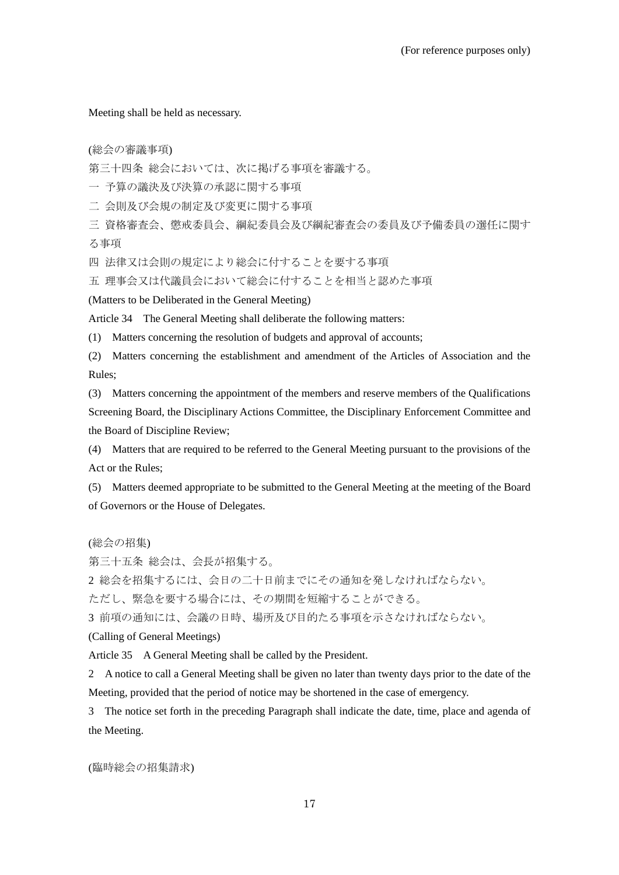Meeting shall be held as necessary.

(総会の審議事項)

第三十四条 総会においては、次に掲げる事項を審議する。

一 予算の議決及び決算の承認に関する事項

二 会則及び会規の制定及び変更に関する事項

三 資格審査会、懲戒委員会、綱紀委員会及び綱紀審査会の委員及び予備委員の選任に関す る事項

四 法律又は会則の規定により総会に付することを要する事項

五 理事会又は代議員会において総会に付することを相当と認めた事項

(Matters to be Deliberated in the General Meeting)

Article 34 The General Meeting shall deliberate the following matters:

(1) Matters concerning the resolution of budgets and approval of accounts;

(2) Matters concerning the establishment and amendment of the Articles of Association and the Rules;

(3) Matters concerning the appointment of the members and reserve members of the Qualifications Screening Board, the Disciplinary Actions Committee, the Disciplinary Enforcement Committee and the Board of Discipline Review;

(4) Matters that are required to be referred to the General Meeting pursuant to the provisions of the Act or the Rules;

(5) Matters deemed appropriate to be submitted to the General Meeting at the meeting of the Board of Governors or the House of Delegates.

(総会の招集)

第三十五条 総会は、会長が招集する。

2 総会を招集するには、会日の二十日前までにその通知を発しなければならない。

ただし、緊急を要する場合には、その期間を短縮することができる。

3 前項の通知には、会議の日時、場所及び目的たる事項を示さなければならない。

(Calling of General Meetings)

Article 35 A General Meeting shall be called by the President.

2 A notice to call a General Meeting shall be given no later than twenty days prior to the date of the Meeting, provided that the period of notice may be shortened in the case of emergency.

3 The notice set forth in the preceding Paragraph shall indicate the date, time, place and agenda of the Meeting.

(臨時総会の招集請求)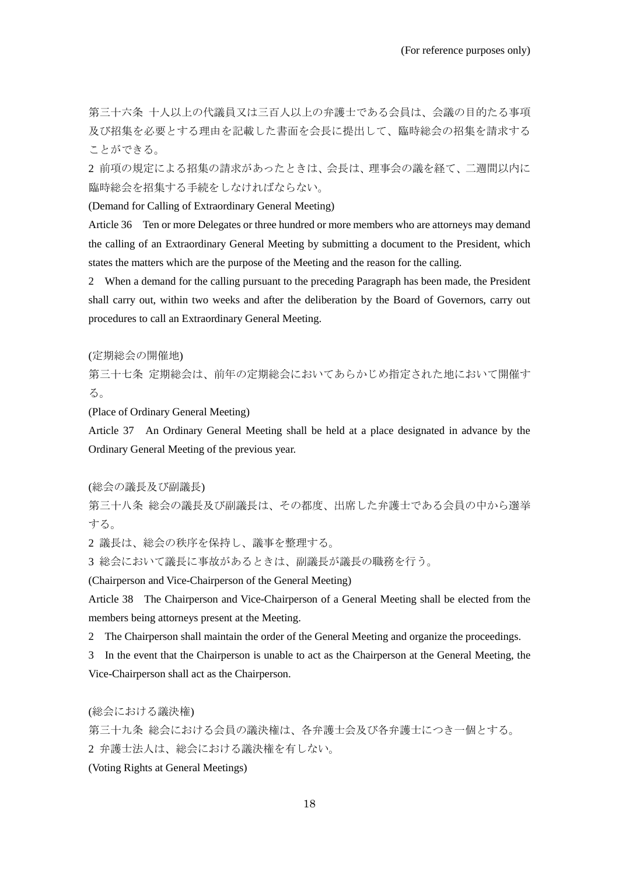第三十六条 十人以上の代議員又は三百人以上の弁護士である会員は、会議の目的たる事項 及び招集を必要とする理由を記載した書面を会長に提出して、臨時総会の招集を請求する ことができる。

2 前項の規定による招集の請求があったときは、会長は、理事会の議を経て、二週間以内に 臨時総会を招集する手続をしなければならない。

(Demand for Calling of Extraordinary General Meeting)

Article 36 Ten or more Delegates or three hundred or more members who are attorneys may demand the calling of an Extraordinary General Meeting by submitting a document to the President, which states the matters which are the purpose of the Meeting and the reason for the calling.

2 When a demand for the calling pursuant to the preceding Paragraph has been made, the President shall carry out, within two weeks and after the deliberation by the Board of Governors, carry out procedures to call an Extraordinary General Meeting.

(定期総会の開催地)

第三十七条 定期総会は、前年の定期総会においてあらかじめ指定された地において開催す る。

(Place of Ordinary General Meeting)

Article 37 An Ordinary General Meeting shall be held at a place designated in advance by the Ordinary General Meeting of the previous year.

(総会の議長及び副議長)

第三十八条 総会の議長及び副議長は、その都度、出席した弁護士である会員の中から選挙 する。

2 議長は、総会の秩序を保持し、議事を整理する。

3 総会において議長に事故があるときは、副議長が議長の職務を行う。

(Chairperson and Vice-Chairperson of the General Meeting)

Article 38 The Chairperson and Vice-Chairperson of a General Meeting shall be elected from the members being attorneys present at the Meeting.

2 The Chairperson shall maintain the order of the General Meeting and organize the proceedings.

3 In the event that the Chairperson is unable to act as the Chairperson at the General Meeting, the Vice-Chairperson shall act as the Chairperson.

(総会における議決権)

第三十九条 総会における会員の議決権は、各弁護士会及び各弁護士につき一個とする。 2 弁護士法人は、総会における議決権を有しない。

(Voting Rights at General Meetings)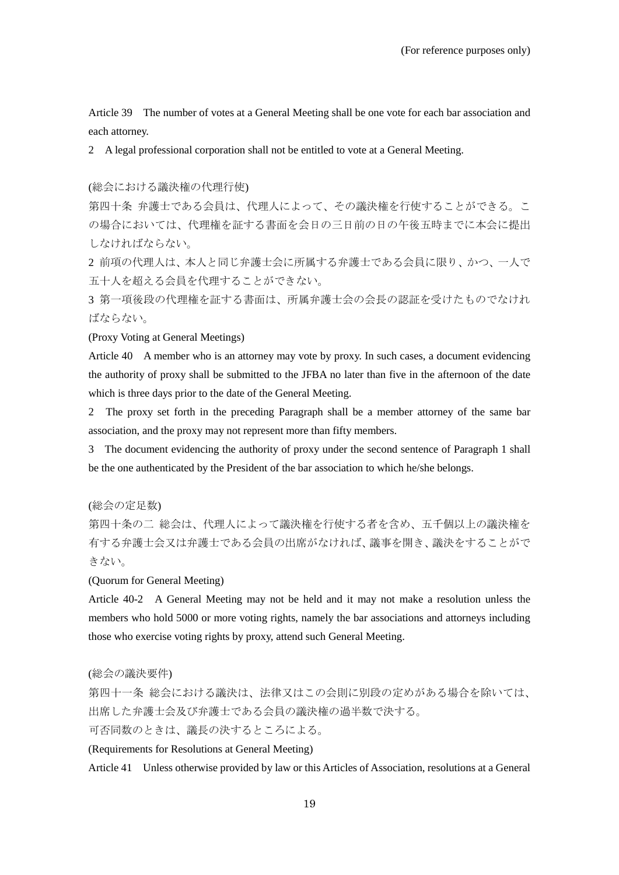Article 39 The number of votes at a General Meeting shall be one vote for each bar association and each attorney.

2 A legal professional corporation shall not be entitled to vote at a General Meeting.

(総会における議決権の代理行使)

第四十条 弁護士である会員は、代理人によって、その議決権を行使することができる。こ の場合においては、代理権を証する書面を会日の三日前の日の午後五時までに本会に提出 しなければならない。

2 前項の代理人は、本人と同じ弁護士会に所属する弁護士である会員に限り、かつ、一人で 五十人を超える会員を代理することができない。

3 第一項後段の代理権を証する書面は、所属弁護士会の会長の認証を受けたものでなけれ ばならない。

(Proxy Voting at General Meetings)

Article 40 A member who is an attorney may vote by proxy. In such cases, a document evidencing the authority of proxy shall be submitted to the JFBA no later than five in the afternoon of the date which is three days prior to the date of the General Meeting.

2 The proxy set forth in the preceding Paragraph shall be a member attorney of the same bar association, and the proxy may not represent more than fifty members.

3 The document evidencing the authority of proxy under the second sentence of Paragraph 1 shall be the one authenticated by the President of the bar association to which he/she belongs.

(総会の定足数)

第四十条の二 総会は、代理人によって議決権を行使する者を含め、五千個以上の議決権を 有する弁護士会又は弁護士である会員の出席がなければ、議事を開き、議決をすることがで きない。

(Quorum for General Meeting)

Article 40-2 A General Meeting may not be held and it may not make a resolution unless the members who hold 5000 or more voting rights, namely the bar associations and attorneys including those who exercise voting rights by proxy, attend such General Meeting.

(総会の議決要件)

第四十一条 総会における議決は、法律又はこの会則に別段の定めがある場合を除いては、 出席した弁護士会及び弁護士である会員の議決権の過半数で決する。 可否同数のときは、議長の決するところによる。

(Requirements for Resolutions at General Meeting)

Article 41 Unless otherwise provided by law or this Articles of Association, resolutions at a General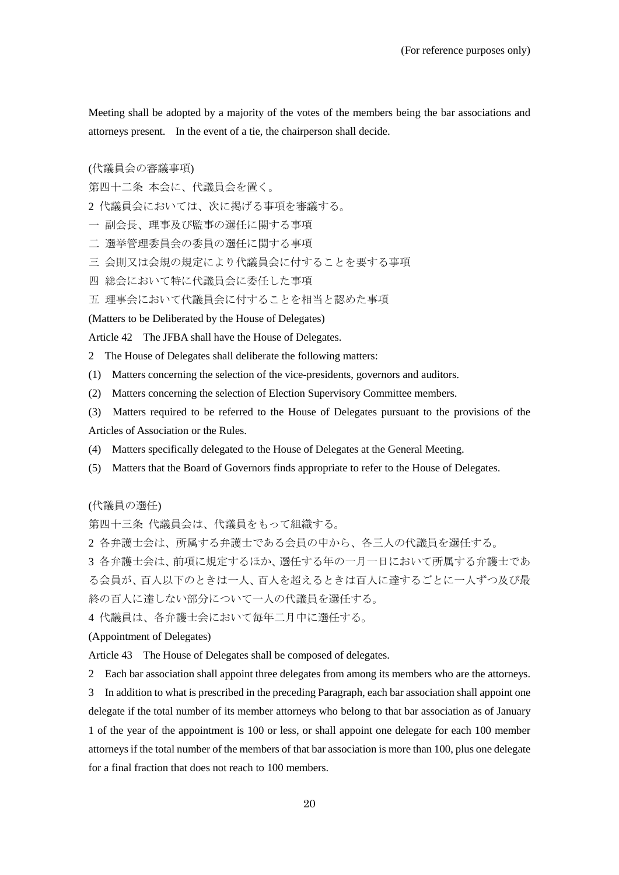Meeting shall be adopted by a majority of the votes of the members being the bar associations and attorneys present. In the event of a tie, the chairperson shall decide.

(代議員会の審議事項)

第四十二条 本会に、代議員会を置く。

- 2 代議員会においては、次に掲げる事項を審議する。
- 一 副会長、理事及び監事の選任に関する事項
- 二 選挙管理委員会の委員の選任に関する事項
- 三 会則又は会規の規定により代議員会に付することを要する事項
- 四 総会において特に代議員会に委任した事項
- 五 理事会において代議員会に付することを相当と認めた事項

(Matters to be Deliberated by the House of Delegates)

Article 42 The JFBA shall have the House of Delegates.

2 The House of Delegates shall deliberate the following matters:

(1) Matters concerning the selection of the vice-presidents, governors and auditors.

(2) Matters concerning the selection of Election Supervisory Committee members.

(3) Matters required to be referred to the House of Delegates pursuant to the provisions of the Articles of Association or the Rules.

- (4) Matters specifically delegated to the House of Delegates at the General Meeting.
- (5) Matters that the Board of Governors finds appropriate to refer to the House of Delegates.

(代議員の選任)

第四十三条 代議員会は、代議員をもって組織する。

2 各弁護士会は、所属する弁護士である会員の中から、各三人の代議員を選任する。

3 各弁護士会は、前項に規定するほか、選任する年の一月一日において所属する弁護士であ る会員が、百人以下のときは一人、百人を超えるときは百人に達するごとに一人ずつ及び最 終の百人に達しない部分について一人の代議員を選任する。

4 代議員は、各弁護士会において毎年二月中に選任する。

(Appointment of Delegates)

Article 43 The House of Delegates shall be composed of delegates.

2 Each bar association shall appoint three delegates from among its members who are the attorneys.

3 In addition to what is prescribed in the preceding Paragraph, each bar association shall appoint one delegate if the total number of its member attorneys who belong to that bar association as of January 1 of the year of the appointment is 100 or less, or shall appoint one delegate for each 100 member attorneys if the total number of the members of that bar association is more than 100, plus one delegate for a final fraction that does not reach to 100 members.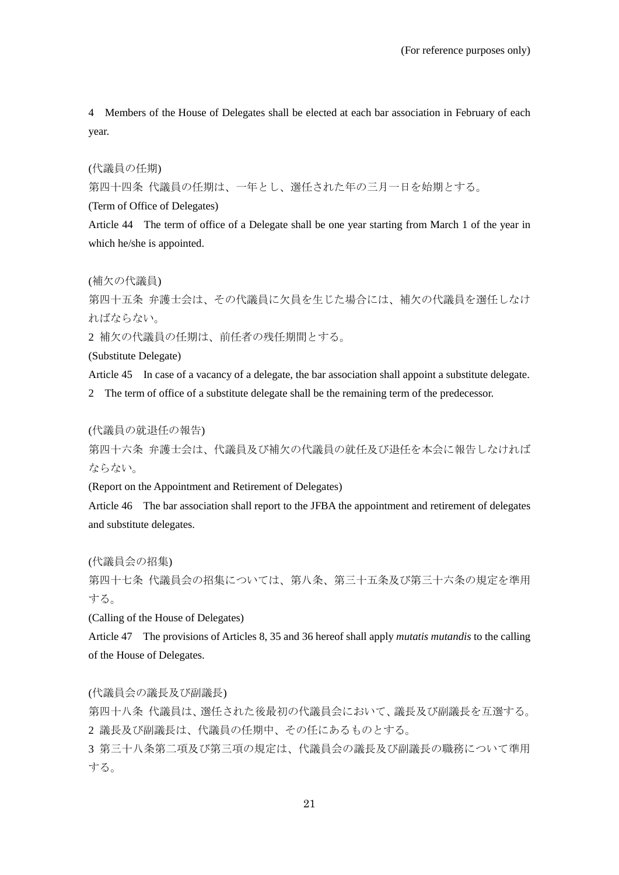4 Members of the House of Delegates shall be elected at each bar association in February of each year.

(代議員の任期)

第四十四条 代議員の任期は、一年とし、選任された年の三月一日を始期とする。

(Term of Office of Delegates)

Article 44 The term of office of a Delegate shall be one year starting from March 1 of the year in which he/she is appointed.

(補欠の代議員)

第四十五条 弁護士会は、その代議員に欠員を生じた場合には、補欠の代議員を選任しなけ ればならない。

2 補欠の代議員の任期は、前任者の残任期間とする。

(Substitute Delegate)

Article 45 In case of a vacancy of a delegate, the bar association shall appoint a substitute delegate.

2 The term of office of a substitute delegate shall be the remaining term of the predecessor.

(代議員の就退任の報告)

第四十六条 弁護士会は、代議員及び補欠の代議員の就任及び退任を本会に報告しなければ ならない。

(Report on the Appointment and Retirement of Delegates)

Article 46 The bar association shall report to the JFBA the appointment and retirement of delegates and substitute delegates.

(代議員会の招集)

第四十七条 代議員会の招集については、第八条、第三十五条及び第三十六条の規定を準用 する。

(Calling of the House of Delegates)

Article 47 The provisions of Articles 8, 35 and 36 hereof shall apply *mutatis mutandis* to the calling of the House of Delegates.

(代議員会の議長及び副議長)

第四十八条 代議員は、選任された後最初の代議員会において、議長及び副議長を互選する。 2 議長及び副議長は、代議員の任期中、その任にあるものとする。

3 第三十八条第二項及び第三項の規定は、代議員会の議長及び副議長の職務について準用 する。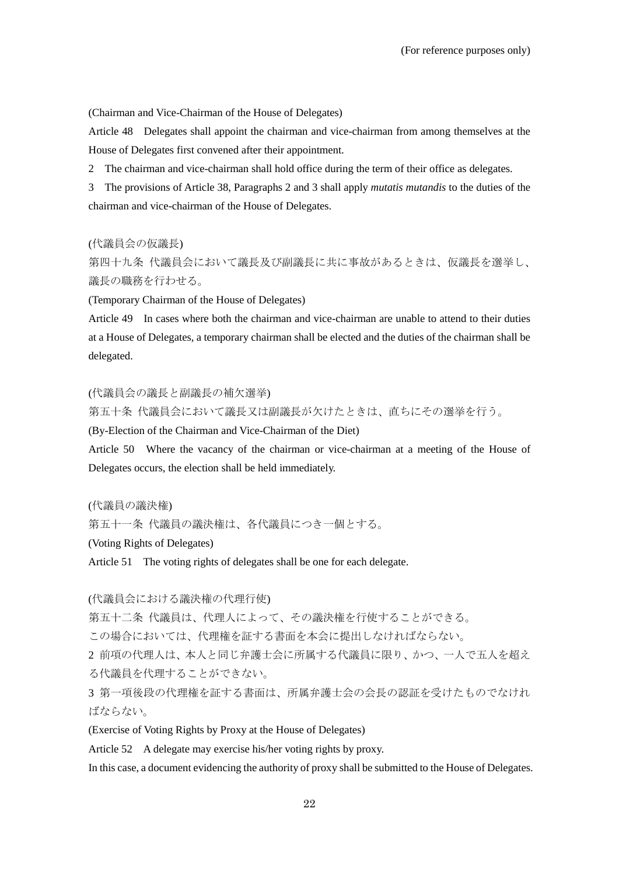(Chairman and Vice-Chairman of the House of Delegates)

Article 48 Delegates shall appoint the chairman and vice-chairman from among themselves at the House of Delegates first convened after their appointment.

2 The chairman and vice-chairman shall hold office during the term of their office as delegates.

3 The provisions of Article 38, Paragraphs 2 and 3 shall apply *mutatis mutandis* to the duties of the chairman and vice-chairman of the House of Delegates.

# (代議員会の仮議長)

第四十九条 代議員会において議長及び副議長に共に事故があるときは、仮議長を選挙し、 議長の職務を行わせる。

(Temporary Chairman of the House of Delegates)

Article 49 In cases where both the chairman and vice-chairman are unable to attend to their duties at a House of Delegates, a temporary chairman shall be elected and the duties of the chairman shall be delegated.

# (代議員会の議長と副議長の補欠選挙)

第五十条 代議員会において議長又は副議長が欠けたときは、直ちにその選挙を行う。

(By-Election of the Chairman and Vice-Chairman of the Diet)

Article 50 Where the vacancy of the chairman or vice-chairman at a meeting of the House of Delegates occurs, the election shall be held immediately.

(代議員の議決権)

第五十一条 代議員の議決権は、各代議員につき一個とする。

(Voting Rights of Delegates)

Article 51 The voting rights of delegates shall be one for each delegate.

# (代議員会における議決権の代理行使)

第五十二条 代議員は、代理人によって、その議決権を行使することができる。

この場合においては、代理権を証する書面を本会に提出しなければならない。

2 前項の代理人は、本人と同じ弁護士会に所属する代議員に限り、かつ、一人で五人を超え る代議員を代理することができない。

3 第一項後段の代理権を証する書面は、所属弁護士会の会長の認証を受けたものでなけれ ばならない。

(Exercise of Voting Rights by Proxy at the House of Delegates)

Article 52 A delegate may exercise his/her voting rights by proxy.

In this case, a document evidencing the authority of proxy shall be submitted to the House of Delegates.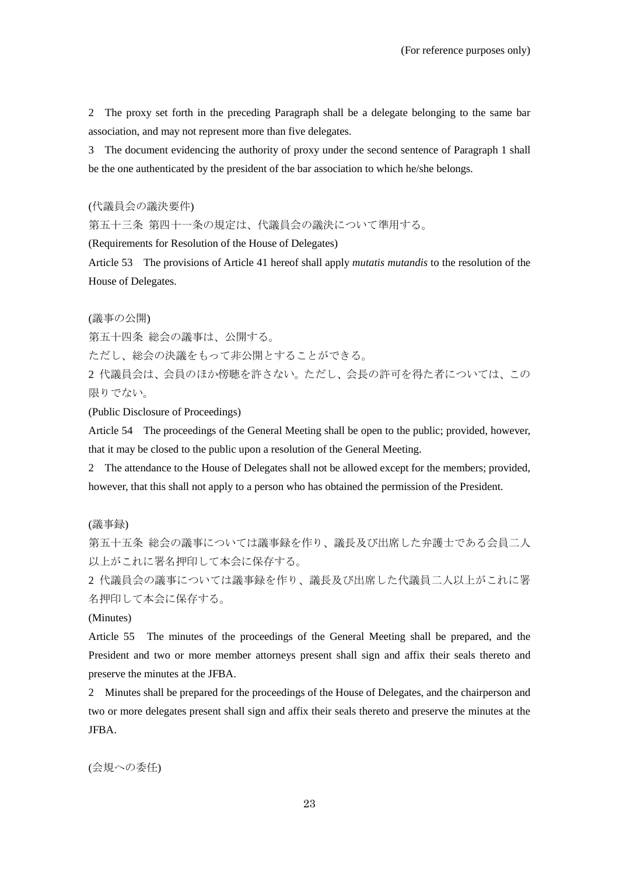2 The proxy set forth in the preceding Paragraph shall be a delegate belonging to the same bar association, and may not represent more than five delegates.

3 The document evidencing the authority of proxy under the second sentence of Paragraph 1 shall be the one authenticated by the president of the bar association to which he/she belongs.

(代議員会の議決要件)

第五十三条 第四十一条の規定は、代議員会の議決について準用する。

(Requirements for Resolution of the House of Delegates)

Article 53 The provisions of Article 41 hereof shall apply *mutatis mutandis* to the resolution of the House of Delegates.

(議事の公開)

第五十四条 総会の議事は、公開する。

ただし、総会の決議をもって非公開とすることができる。

2 代議員会は、会員のほか傍聴を許さない。ただし、会長の許可を得た者については、この 限りでない。

(Public Disclosure of Proceedings)

Article 54 The proceedings of the General Meeting shall be open to the public; provided, however, that it may be closed to the public upon a resolution of the General Meeting.

2 The attendance to the House of Delegates shall not be allowed except for the members; provided, however, that this shall not apply to a person who has obtained the permission of the President.

(議事録)

第五十五条 総会の議事については議事録を作り、議長及び出席した弁護士である会員二人 以上がこれに署名押印して本会に保存する。

2 代議員会の議事については議事録を作り、議長及び出席した代議員二人以上がこれに署 名押印して本会に保存する。

(Minutes)

Article 55 The minutes of the proceedings of the General Meeting shall be prepared, and the President and two or more member attorneys present shall sign and affix their seals thereto and preserve the minutes at the JFBA.

2 Minutes shall be prepared for the proceedings of the House of Delegates, and the chairperson and two or more delegates present shall sign and affix their seals thereto and preserve the minutes at the JFBA.

(会規への委任)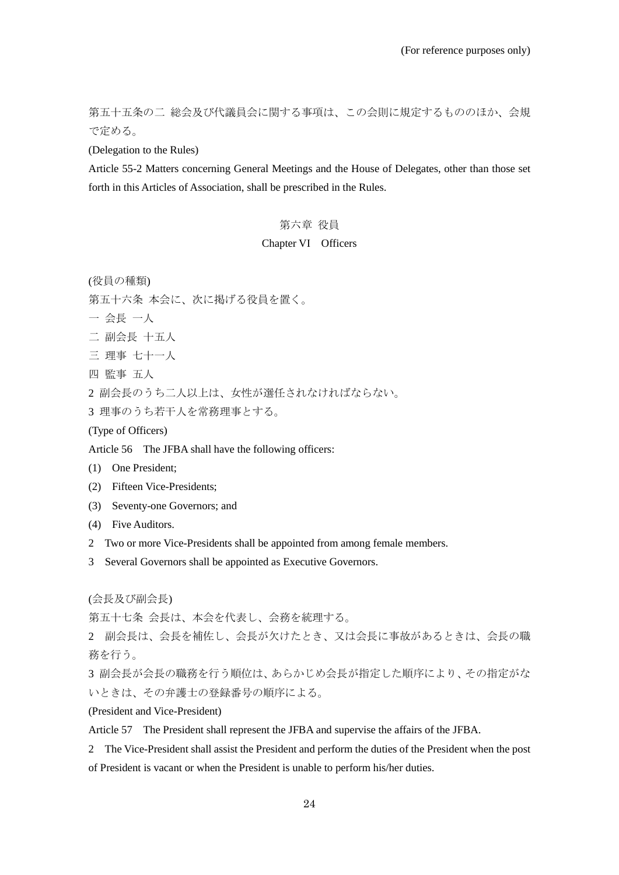第五十五条の二 総会及び代議員会に関する事項は、この会則に規定するもののほか、会規 で定める。

(Delegation to the Rules)

Article 55-2 Matters concerning General Meetings and the House of Delegates, other than those set forth in this Articles of Association, shall be prescribed in the Rules.

# 第六章 役員

#### Chapter VI Officers

(役員の種類)

第五十六条 本会に、次に掲げる役員を置く。

- 一 会長 一人
- 二 副会長 十五人
- 三 理事 七十一人
- 四 監事 五人

2 副会長のうち二人以上は、女性が選任されなければならない。

3 理事のうち若干人を常務理事とする。

# (Type of Officers)

Article 56 The JFBA shall have the following officers:

- (1) One President;
- (2) Fifteen Vice-Presidents;
- (3) Seventy-one Governors; and
- (4) Five Auditors.
- 2 Two or more Vice-Presidents shall be appointed from among female members.
- 3 Several Governors shall be appointed as Executive Governors.

(会長及び副会長)

第五十七条 会長は、本会を代表し、会務を統理する。

2 副会長は、会長を補佐し、会長が欠けたとき、又は会長に事故があるときは、会長の職 務を行う。

3 副会長が会長の職務を行う順位は、あらかじめ会長が指定した順序により、その指定がな いときは、その弁護士の登録番号の順序による。

(President and Vice-President)

Article 57 The President shall represent the JFBA and supervise the affairs of the JFBA.

2 The Vice-President shall assist the President and perform the duties of the President when the post of President is vacant or when the President is unable to perform his/her duties.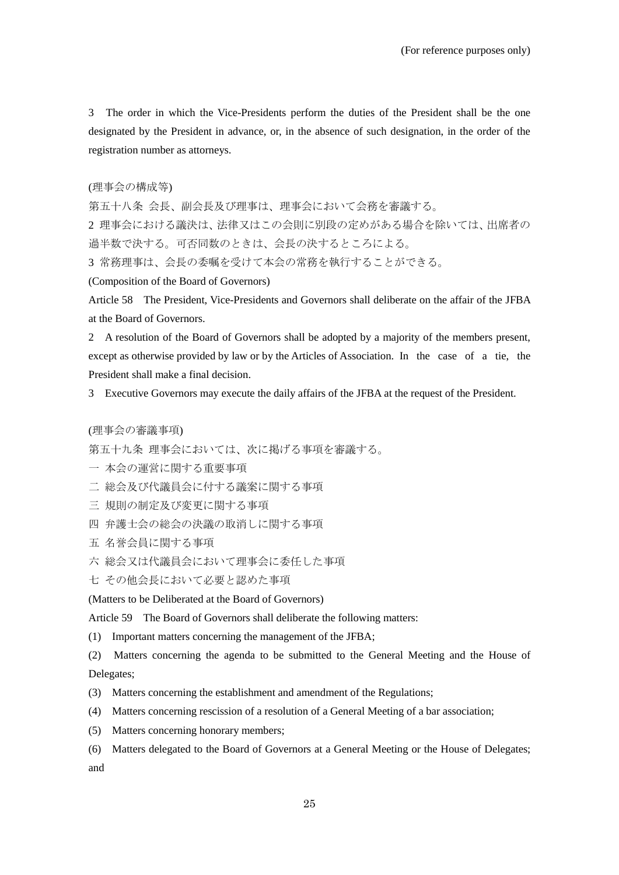3 The order in which the Vice-Presidents perform the duties of the President shall be the one designated by the President in advance, or, in the absence of such designation, in the order of the registration number as attorneys.

(理事会の構成等)

第五十八条 会長、副会長及び理事は、理事会において会務を審議する。

2 理事会における議決は、法律又はこの会則に別段の定めがある場合を除いては、出席者の 過半数で決する。可否同数のときは、会長の決するところによる。

3 常務理事は、会長の委嘱を受けて本会の常務を執行することができる。

(Composition of the Board of Governors)

Article 58 The President, Vice-Presidents and Governors shall deliberate on the affair of the JFBA at the Board of Governors.

2 A resolution of the Board of Governors shall be adopted by a majority of the members present, except as otherwise provided by law or by the Articles of Association. In the case of a tie, the President shall make a final decision.

3 Executive Governors may execute the daily affairs of the JFBA at the request of the President.

(理事会の審議事項)

第五十九条 理事会においては、次に掲げる事項を審議する。

- 一 本会の運営に関する重要事項
- 二 総会及び代議員会に付する議案に関する事項
- 三 規則の制定及び変更に関する事項
- 四 弁護士会の総会の決議の取消しに関する事項
- 五 名誉会員に関する事項
- 六 総会又は代議員会において理事会に委任した事項
- 七 その他会長において必要と認めた事項

(Matters to be Deliberated at the Board of Governors)

Article 59 The Board of Governors shall deliberate the following matters:

(1) Important matters concerning the management of the JFBA;

(2) Matters concerning the agenda to be submitted to the General Meeting and the House of Delegates;

- (3) Matters concerning the establishment and amendment of the Regulations;
- (4) Matters concerning rescission of a resolution of a General Meeting of a bar association;
- (5) Matters concerning honorary members;
- (6) Matters delegated to the Board of Governors at a General Meeting or the House of Delegates; and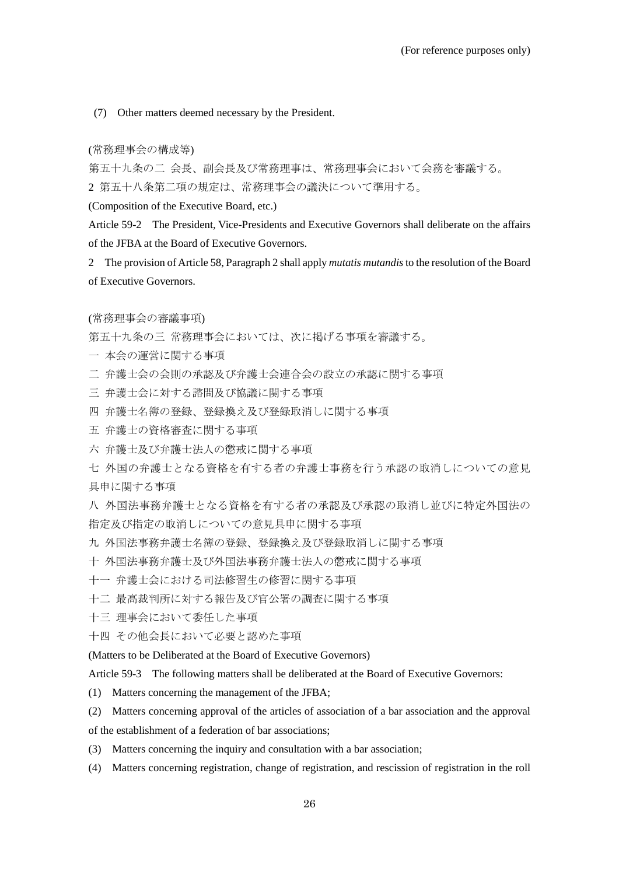(7) Other matters deemed necessary by the President.

#### (常務理事会の構成等)

第五十九条の二 会長、副会長及び常務理事は、常務理事会において会務を審議する。 2 第五十八条第二項の規定は、常務理事会の議決について準用する。

(Composition of the Executive Board, etc.)

Article 59-2 The President, Vice-Presidents and Executive Governors shall deliberate on the affairs of the JFBA at the Board of Executive Governors.

2 The provision of Article 58, Paragraph 2 shall apply *mutatis mutandis*to the resolution of the Board of Executive Governors.

(常務理事会の審議事項)

第五十九条の三 常務理事会においては、次に掲げる事項を審議する。

- 一 本会の運営に関する事項
- 二 弁護士会の会則の承認及び弁護士会連合会の設立の承認に関する事項
- 三 弁護士会に対する諮問及び協議に関する事項
- 四 弁護士名簿の登録、登録換え及び登録取消しに関する事項
- 五 弁護士の資格審査に関する事項
- 六 弁護士及び弁護士法人の懲戒に関する事項
- 七 外国の弁護士となる資格を有する者の弁護士事務を行う承認の取消しについての意見 具申に関する事項

八 外国法事務弁護士となる資格を有する者の承認及び承認の取消し並びに特定外国法の 指定及び指定の取消しについての意見具申に関する事項

- 九 外国法事務弁護士名簿の登録、登録換え及び登録取消しに関する事項
- 十 外国法事務弁護士及び外国法事務弁護士法人の懲戒に関する事項
- 十一 弁護士会における司法修習生の修習に関する事項
- 十二 最高裁判所に対する報告及び官公署の調査に関する事項
- 十三 理事会において委任した事項
- 十四 その他会長において必要と認めた事項

(Matters to be Deliberated at the Board of Executive Governors)

Article 59-3 The following matters shall be deliberated at the Board of Executive Governors:

- (1) Matters concerning the management of the JFBA;
- (2) Matters concerning approval of the articles of association of a bar association and the approval of the establishment of a federation of bar associations;
- (3) Matters concerning the inquiry and consultation with a bar association;
- (4) Matters concerning registration, change of registration, and rescission of registration in the roll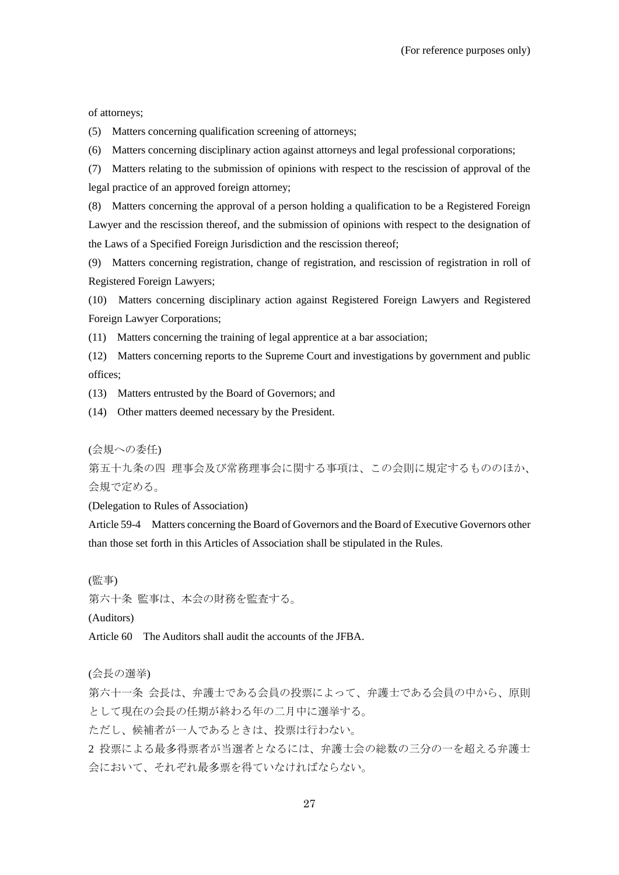of attorneys;

(5) Matters concerning qualification screening of attorneys;

(6) Matters concerning disciplinary action against attorneys and legal professional corporations;

(7) Matters relating to the submission of opinions with respect to the rescission of approval of the legal practice of an approved foreign attorney;

(8) Matters concerning the approval of a person holding a qualification to be a Registered Foreign Lawyer and the rescission thereof, and the submission of opinions with respect to the designation of the Laws of a Specified Foreign Jurisdiction and the rescission thereof;

(9) Matters concerning registration, change of registration, and rescission of registration in roll of Registered Foreign Lawyers;

(10) Matters concerning disciplinary action against Registered Foreign Lawyers and Registered Foreign Lawyer Corporations;

(11) Matters concerning the training of legal apprentice at a bar association;

(12) Matters concerning reports to the Supreme Court and investigations by government and public offices;

(13) Matters entrusted by the Board of Governors; and

(14) Other matters deemed necessary by the President.

(会規への委任)

第五十九条の四 理事会及び常務理事会に関する事項は、この会則に規定するもののほか、 会規で定める。

(Delegation to Rules of Association)

Article 59-4 Matters concerning the Board of Governors and the Board of Executive Governors other than those set forth in this Articles of Association shall be stipulated in the Rules.

(監事)

第六十条 監事は、本会の財務を監査する。

(Auditors)

Article 60 The Auditors shall audit the accounts of the JFBA.

(会長の選挙)

第六十一条 会長は、弁護士である会員の投票によって、弁護士である会員の中から、原則 として現在の会長の任期が終わる年の二月中に選挙する。

ただし、候補者が一人であるときは、投票は行わない。

2 投票による最多得票者が当選者となるには、弁護士会の総数の三分の一を超える弁護士 会において、それぞれ最多票を得ていなければならない。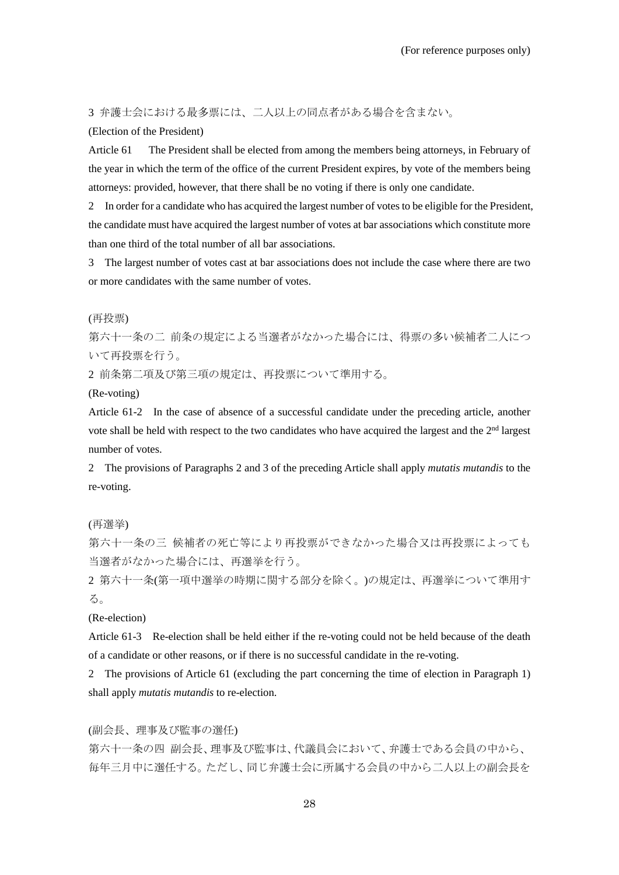3 弁護士会における最多票には、二人以上の同点者がある場合を含まない。

(Election of the President)

Article 61 The President shall be elected from among the members being attorneys, in February of the year in which the term of the office of the current President expires, by vote of the members being attorneys: provided, however, that there shall be no voting if there is only one candidate.

2 In order for a candidate who has acquired the largest number of votes to be eligible for the President, the candidate must have acquired the largest number of votes at bar associations which constitute more than one third of the total number of all bar associations.

3 The largest number of votes cast at bar associations does not include the case where there are two or more candidates with the same number of votes.

(再投票)

第六十一条の二 前条の規定による当選者がなかった場合には、得票の多い候補者二人につ いて再投票を行う。

2 前条第二項及び第三項の規定は、再投票について準用する。

(Re-voting)

Article 61-2 In the case of absence of a successful candidate under the preceding article, another vote shall be held with respect to the two candidates who have acquired the largest and the  $2<sup>nd</sup>$  largest number of votes.

2 The provisions of Paragraphs 2 and 3 of the preceding Article shall apply *mutatis mutandis* to the re-voting.

(再選挙)

第六十一条の三 候補者の死亡等により再投票ができなかった場合又は再投票によっても 当選者がなかった場合には、再選挙を行う。

2 第六十一条(第一項中選挙の時期に関する部分を除く。)の規定は、再選挙について準用す る。

(Re-election)

Article 61-3 Re-election shall be held either if the re-voting could not be held because of the death of a candidate or other reasons, or if there is no successful candidate in the re-voting.

2 The provisions of Article 61 (excluding the part concerning the time of election in Paragraph 1) shall apply *mutatis mutandis* to re-election.

(副会長、理事及び監事の選任)

第六十一条の四 副会長、理事及び監事は、代議員会において、弁護士である会員の中から、 毎年三月中に選任する。ただし、同じ弁護士会に所属する会員の中から二人以上の副会長を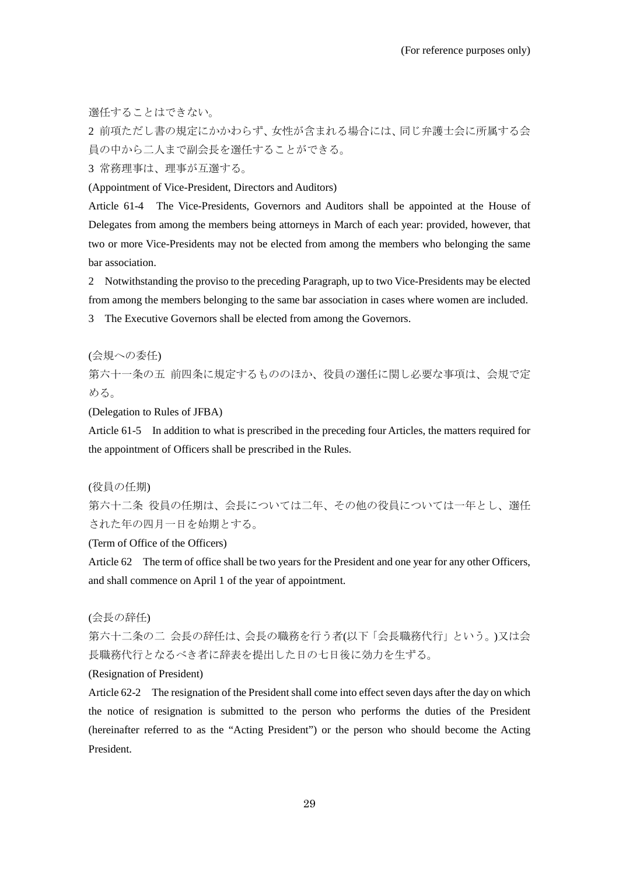選任することはできない。

2 前項ただし書の規定にかかわらず、女性が含まれる場合には、同じ弁護士会に所属する会 員の中から二人まで副会長を選任することができる。

3 常務理事は、理事が互選する。

(Appointment of Vice-President, Directors and Auditors)

Article 61-4 The Vice-Presidents, Governors and Auditors shall be appointed at the House of Delegates from among the members being attorneys in March of each year: provided, however, that two or more Vice-Presidents may not be elected from among the members who belonging the same bar association.

2 Notwithstanding the proviso to the preceding Paragraph, up to two Vice-Presidents may be elected from among the members belonging to the same bar association in cases where women are included.

3 The Executive Governors shall be elected from among the Governors.

(会規への委任)

第六十一条の五 前四条に規定するもののほか、役員の選任に関し必要な事項は、会規で定 める。

(Delegation to Rules of JFBA)

Article 61-5 In addition to what is prescribed in the preceding four Articles, the matters required for the appointment of Officers shall be prescribed in the Rules.

(役員の任期)

第六十二条 役員の任期は、会長については二年、その他の役員については一年とし、選任 された年の四月一日を始期とする。

(Term of Office of the Officers)

Article 62 The term of office shall be two years for the President and one year for any other Officers, and shall commence on April 1 of the year of appointment.

(会長の辞任)

第六十二条の二 会長の辞任は、会長の職務を行う者(以下「会長職務代行」という。)又は会 長職務代行となるべき者に辞表を提出した日の七日後に効力を生ずる。

#### (Resignation of President)

Article 62-2 The resignation of the President shall come into effect seven days after the day on which the notice of resignation is submitted to the person who performs the duties of the President (hereinafter referred to as the "Acting President") or the person who should become the Acting President.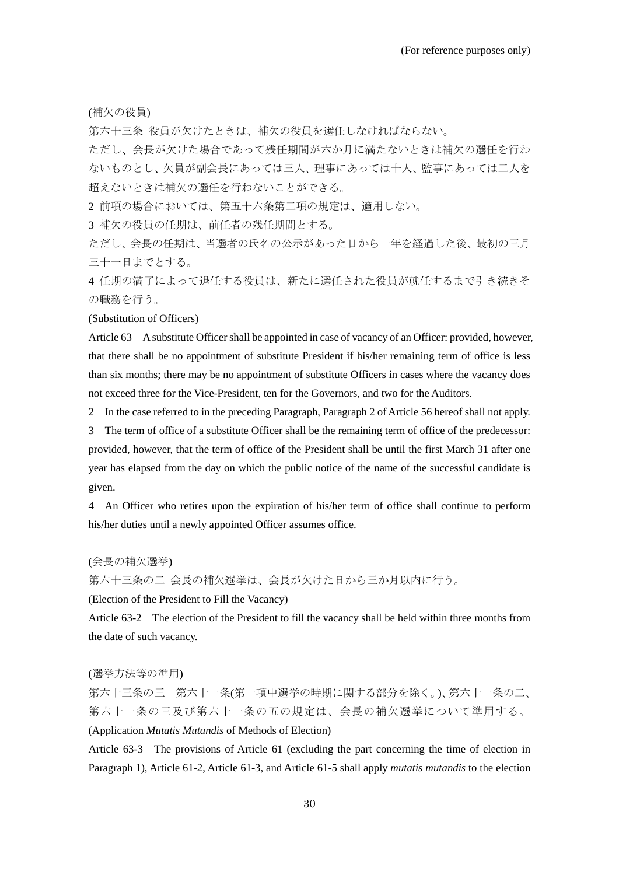(補欠の役員)

第六十三条 役員が欠けたときは、補欠の役員を選任しなければならない。

ただし、会長が欠けた場合であって残任期間が六か月に満たないときは補欠の選任を行わ ないものとし、欠員が副会長にあっては三人、理事にあっては十人、監事にあっては二人を 超えないときは補欠の選任を行わないことができる。

2 前項の場合においては、第五十六条第二項の規定は、適用しない。

3 補欠の役員の任期は、前任者の残任期間とする。

ただし、会長の任期は、当選者の氏名の公示があった日から一年を経過した後、最初の三月 三十一日までとする。

4 任期の満了によって退任する役員は、新たに選任された役員が就任するまで引き続きそ の職務を行う。

#### (Substitution of Officers)

Article 63 A substitute Officer shall be appointed in case of vacancy of an Officer: provided, however, that there shall be no appointment of substitute President if his/her remaining term of office is less than six months; there may be no appointment of substitute Officers in cases where the vacancy does not exceed three for the Vice-President, ten for the Governors, and two for the Auditors.

2 In the case referred to in the preceding Paragraph, Paragraph 2 of Article 56 hereof shall not apply.

3 The term of office of a substitute Officer shall be the remaining term of office of the predecessor: provided, however, that the term of office of the President shall be until the first March 31 after one year has elapsed from the day on which the public notice of the name of the successful candidate is given.

4 An Officer who retires upon the expiration of his/her term of office shall continue to perform his/her duties until a newly appointed Officer assumes office.

(会長の補欠選挙)

第六十三条の二 会長の補欠選挙は、会長が欠けた日から三か月以内に行う。

(Election of the President to Fill the Vacancy)

Article 63-2 The election of the President to fill the vacancy shall be held within three months from the date of such vacancy.

#### (選挙方法等の準用)

第六十三条の三 第六十一条(第一項中選挙の時期に関する部分を除く。)、第六十一条の二、 第六十一条の三及び第六十一条の五の規定は、会長の補欠選挙について準用する。 (Application *Mutatis Mutandis* of Methods of Election)

Article 63-3 The provisions of Article 61 (excluding the part concerning the time of election in Paragraph 1), Article 61-2, Article 61-3, and Article 61-5 shall apply *mutatis mutandis* to the election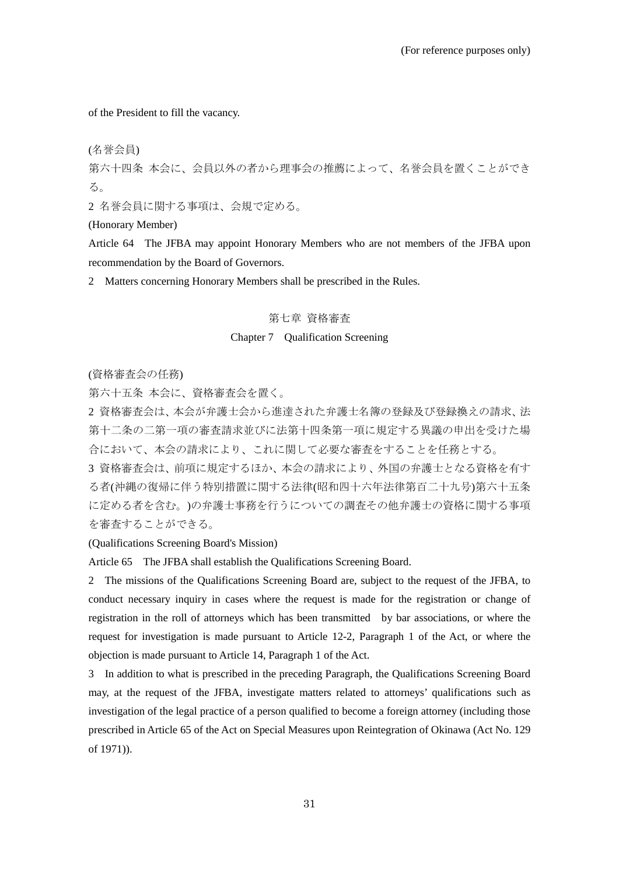of the President to fill the vacancy.

(名誉会員)

第六十四条 本会に、会員以外の者から理事会の推薦によって、名誉会員を置くことができ る。

2 名誉会員に関する事項は、会規で定める。

(Honorary Member)

Article 64 The JFBA may appoint Honorary Members who are not members of the JFBA upon recommendation by the Board of Governors.

2 Matters concerning Honorary Members shall be prescribed in the Rules.

# 第七章 資格審査

# Chapter 7 Qualification Screening

(資格審査会の任務)

第六十五条 本会に、資格審査会を置く。

2 資格審査会は、本会が弁護士会から進達された弁護士名簿の登録及び登録換えの請求、法 第十二条の二第一項の審査請求並びに法第十四条第一項に規定する異議の申出を受けた場 合において、本会の請求により、これに関して必要な審査をすることを任務とする。

3 資格審査会は、前項に規定するほか、本会の請求により、外国の弁護士となる資格を有す る者(沖縄の復帰に伴う特別措置に関する法律(昭和四十六年法律第百二十九号)第六十五条 に定める者を含む。)の弁護士事務を行うについての調査その他弁護士の資格に関する事項 を審査することができる。

## (Qualifications Screening Board's Mission)

Article 65 The JFBA shall establish the Qualifications Screening Board.

2 The missions of the Qualifications Screening Board are, subject to the request of the JFBA, to conduct necessary inquiry in cases where the request is made for the registration or change of registration in the roll of attorneys which has been transmitted by bar associations, or where the request for investigation is made pursuant to Article 12-2, Paragraph 1 of the Act, or where the objection is made pursuant to Article 14, Paragraph 1 of the Act.

3 In addition to what is prescribed in the preceding Paragraph, the Qualifications Screening Board may, at the request of the JFBA, investigate matters related to attorneys' qualifications such as investigation of the legal practice of a person qualified to become a foreign attorney (including those prescribed in Article 65 of the Act on Special Measures upon Reintegration of Okinawa (Act No. 129 of 1971)).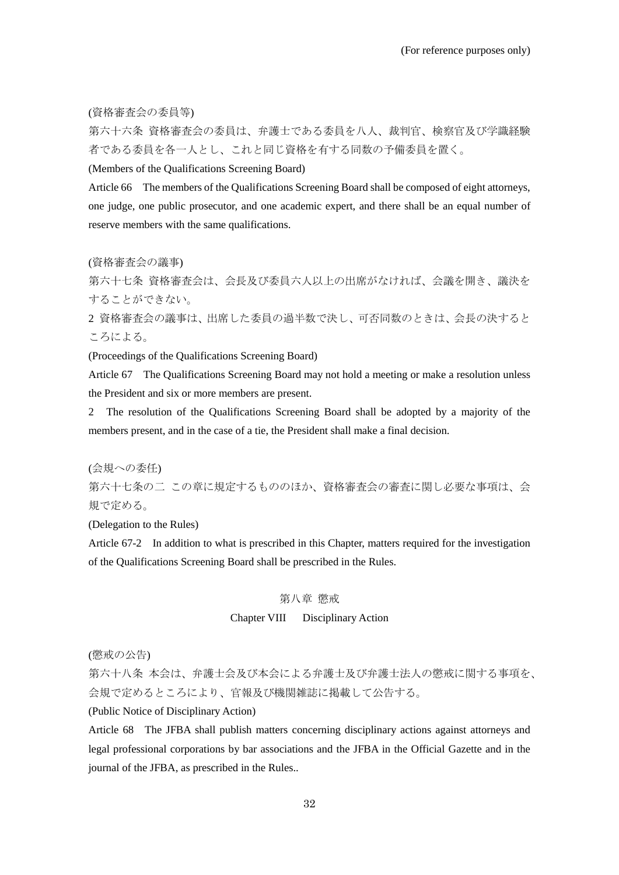(資格審査会の委員等)

第六十六条 資格審査会の委員は、弁護士である委員を八人、裁判官、検察官及び学識経験 者である委員を各一人とし、これと同じ資格を有する同数の予備委員を置く。

(Members of the Qualifications Screening Board)

Article 66 The members of the Qualifications Screening Board shall be composed of eight attorneys, one judge, one public prosecutor, and one academic expert, and there shall be an equal number of reserve members with the same qualifications.

(資格審査会の議事)

第六十七条 資格審査会は、会長及び委員六人以上の出席がなければ、会議を開き、議決を することができない。

2 資格審査会の議事は、出席した委員の過半数で決し、可否同数のときは、会長の決すると ころによる。

(Proceedings of the Qualifications Screening Board)

Article 67 The Qualifications Screening Board may not hold a meeting or make a resolution unless the President and six or more members are present.

2 The resolution of the Qualifications Screening Board shall be adopted by a majority of the members present, and in the case of a tie, the President shall make a final decision.

(会規への委任)

第六十七条の二 この章に規定するもののほか、資格審査会の審査に関し必要な事項は、会 規で定める。

(Delegation to the Rules)

Article 67-2 In addition to what is prescribed in this Chapter, matters required for the investigation of the Qualifications Screening Board shall be prescribed in the Rules.

# 第八章 懲戒

### Chapter VIII Disciplinary Action

(懲戒の公告)

第六十八条 本会は、弁護士会及び本会による弁護士及び弁護士法人の懲戒に関する事項を、 会規で定めるところにより、官報及び機関雑誌に掲載して公告する。

(Public Notice of Disciplinary Action)

Article 68 The JFBA shall publish matters concerning disciplinary actions against attorneys and legal professional corporations by bar associations and the JFBA in the Official Gazette and in the journal of the JFBA, as prescribed in the Rules..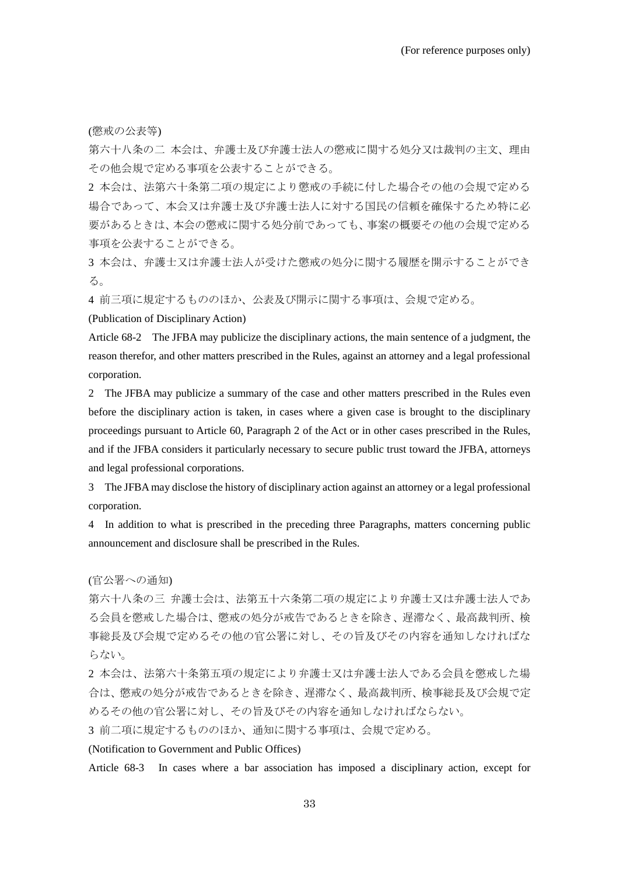(懲戒の公表等)

第六十八条の二 本会は、弁護士及び弁護士法人の懲戒に関する処分又は裁判の主文、理由 その他会規で定める事項を公表することができる。

2 本会は、法第六十条第二項の規定により懲戒の手続に付した場合その他の会規で定める 場合であって、本会又は弁護士及び弁護士法人に対する国民の信頼を確保するため特に必 要があるときは、本会の懲戒に関する処分前であっても、事案の概要その他の会規で定める 事項を公表することができる。

3 本会は、弁護士又は弁護士法人が受けた懲戒の処分に関する履歴を開示することができ る。

4 前三項に規定するもののほか、公表及び開示に関する事項は、会規で定める。

(Publication of Disciplinary Action)

Article 68-2 The JFBA may publicize the disciplinary actions, the main sentence of a judgment, the reason therefor, and other matters prescribed in the Rules, against an attorney and a legal professional corporation.

2 The JFBA may publicize a summary of the case and other matters prescribed in the Rules even before the disciplinary action is taken, in cases where a given case is brought to the disciplinary proceedings pursuant to Article 60, Paragraph 2 of the Act or in other cases prescribed in the Rules, and if the JFBA considers it particularly necessary to secure public trust toward the JFBA, attorneys and legal professional corporations.

3 The JFBA may disclose the history of disciplinary action against an attorney or a legal professional corporation.

4 In addition to what is prescribed in the preceding three Paragraphs, matters concerning public announcement and disclosure shall be prescribed in the Rules.

(官公署への通知)

第六十八条の三 弁護士会は、法第五十六条第二項の規定により弁護士又は弁護士法人であ る会員を懲戒した場合は、懲戒の処分が戒告であるときを除き、遅滞なく、最高裁判所、検 事総長及び会規で定めるその他の官公署に対し、その旨及びその内容を通知しなければな らない。

2 本会は、法第六十条第五項の規定により弁護士又は弁護士法人である会員を懲戒した場 合は、懲戒の処分が戒告であるときを除き、遅滞なく、最高裁判所、検事総長及び会規で定 めるその他の官公署に対し、その旨及びその内容を通知しなければならない。

3 前二項に規定するもののほか、通知に関する事項は、会規で定める。

(Notification to Government and Public Offices)

Article 68-3 In cases where a bar association has imposed a disciplinary action, except for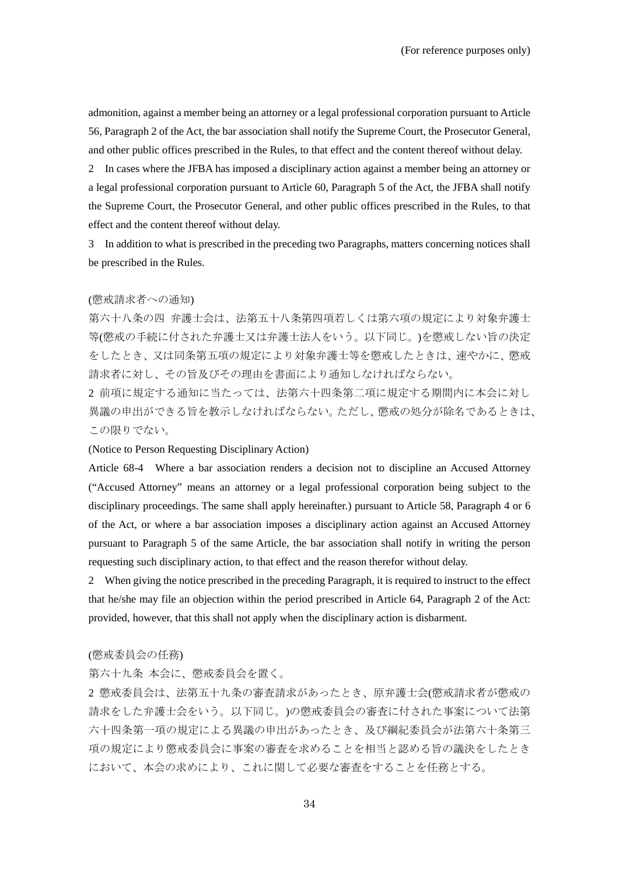admonition, against a member being an attorney or a legal professional corporation pursuant to Article 56, Paragraph 2 of the Act, the bar association shall notify the Supreme Court, the Prosecutor General, and other public offices prescribed in the Rules, to that effect and the content thereof without delay.

2 In cases where the JFBA has imposed a disciplinary action against a member being an attorney or a legal professional corporation pursuant to Article 60, Paragraph 5 of the Act, the JFBA shall notify the Supreme Court, the Prosecutor General, and other public offices prescribed in the Rules, to that effect and the content thereof without delay.

3 In addition to what is prescribed in the preceding two Paragraphs, matters concerning notices shall be prescribed in the Rules.

#### (懲戒請求者への通知)

第六十八条の四 弁護士会は、法第五十八条第四項若しくは第六項の規定により対象弁護士 等(懲戒の手続に付された弁護士又は弁護士法人をいう。以下同じ。)を懲戒しない旨の決定 をしたとき、又は同条第五項の規定により対象弁護士等を懲戒したときは、速やかに、懲戒 請求者に対し、その旨及びその理由を書面により通知しなければならない。

2 前項に規定する通知に当たっては、法第六十四条第二項に規定する期間内に本会に対し 異議の申出ができる旨を教示しなければならない。ただし、懲戒の処分が除名であるときは、 この限りでない。

#### (Notice to Person Requesting Disciplinary Action)

Article 68-4 Where a bar association renders a decision not to discipline an Accused Attorney ("Accused Attorney" means an attorney or a legal professional corporation being subject to the disciplinary proceedings. The same shall apply hereinafter.) pursuant to Article 58, Paragraph 4 or 6 of the Act, or where a bar association imposes a disciplinary action against an Accused Attorney pursuant to Paragraph 5 of the same Article, the bar association shall notify in writing the person requesting such disciplinary action, to that effect and the reason therefor without delay.

2 When giving the notice prescribed in the preceding Paragraph, it is required to instruct to the effect that he/she may file an objection within the period prescribed in Article 64, Paragraph 2 of the Act: provided, however, that this shall not apply when the disciplinary action is disbarment.

#### (懲戒委員会の任務)

第六十九条 本会に、懲戒委員会を置く。

2 懲戒委員会は、法第五十九条の審査請求があったとき、原弁護士会(懲戒請求者が懲戒の 請求をした弁護士会をいう。以下同じ。)の懲戒委員会の審査に付された事案について法第 六十四条第一項の規定による異議の申出があったとき、及び綱紀委員会が法第六十条第三 項の規定により懲戒委員会に事案の審査を求めることを相当と認める旨の議決をしたとき において、本会の求めにより、これに関して必要な審査をすることを任務とする。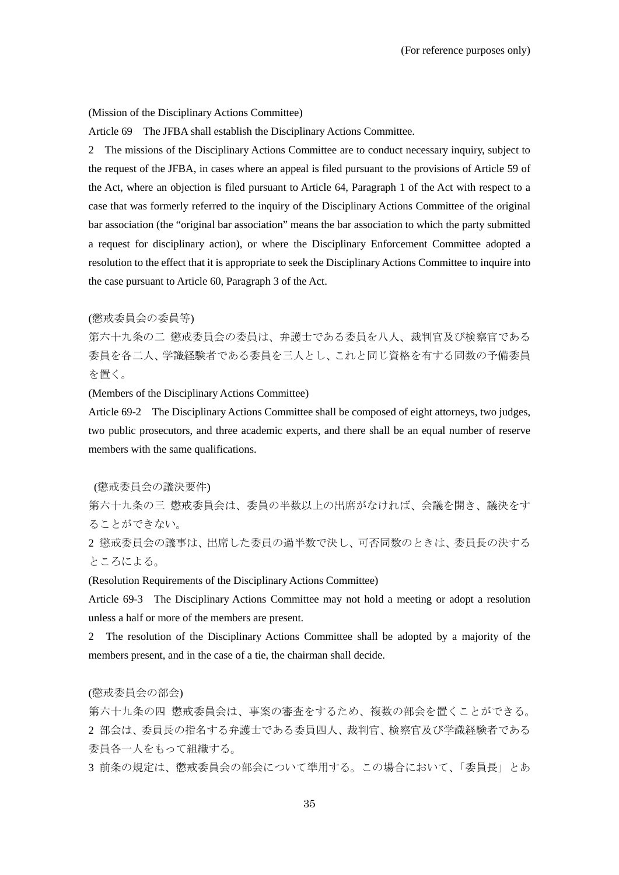#### (Mission of the Disciplinary Actions Committee)

Article 69 The JFBA shall establish the Disciplinary Actions Committee.

2 The missions of the Disciplinary Actions Committee are to conduct necessary inquiry, subject to the request of the JFBA, in cases where an appeal is filed pursuant to the provisions of Article 59 of the Act, where an objection is filed pursuant to Article 64, Paragraph 1 of the Act with respect to a case that was formerly referred to the inquiry of the Disciplinary Actions Committee of the original bar association (the "original bar association" means the bar association to which the party submitted a request for disciplinary action), or where the Disciplinary Enforcement Committee adopted a resolution to the effect that it is appropriate to seek the Disciplinary Actions Committee to inquire into the case pursuant to Article 60, Paragraph 3 of the Act.

# (懲戒委員会の委員等)

第六十九条の二 懲戒委員会の委員は、弁護士である委員を八人、裁判官及び検察官である 委員を各二人、学識経験者である委員を三人とし、これと同じ資格を有する同数の予備委員 を置く。

(Members of the Disciplinary Actions Committee)

Article 69-2 The Disciplinary Actions Committee shall be composed of eight attorneys, two judges, two public prosecutors, and three academic experts, and there shall be an equal number of reserve members with the same qualifications.

#### (懲戒委員会の議決要件)

第六十九条の三 懲戒委員会は、委員の半数以上の出席がなければ、会議を開き、議決をす ることができない。

2 懲戒委員会の議事は、出席した委員の過半数で決し、可否同数のときは、委員長の決する ところによる。

(Resolution Requirements of the Disciplinary Actions Committee)

Article 69-3 The Disciplinary Actions Committee may not hold a meeting or adopt a resolution unless a half or more of the members are present.

2 The resolution of the Disciplinary Actions Committee shall be adopted by a majority of the members present, and in the case of a tie, the chairman shall decide.

# (懲戒委員会の部会)

第六十九条の四 懲戒委員会は、事案の審査をするため、複数の部会を置くことができる。 2 部会は、委員長の指名する弁護士である委員四人、裁判官、検察官及び学識経験者である 委員各一人をもって組織する。

3 前条の規定は、懲戒委員会の部会について準用する。この場合において、「委員長」とあ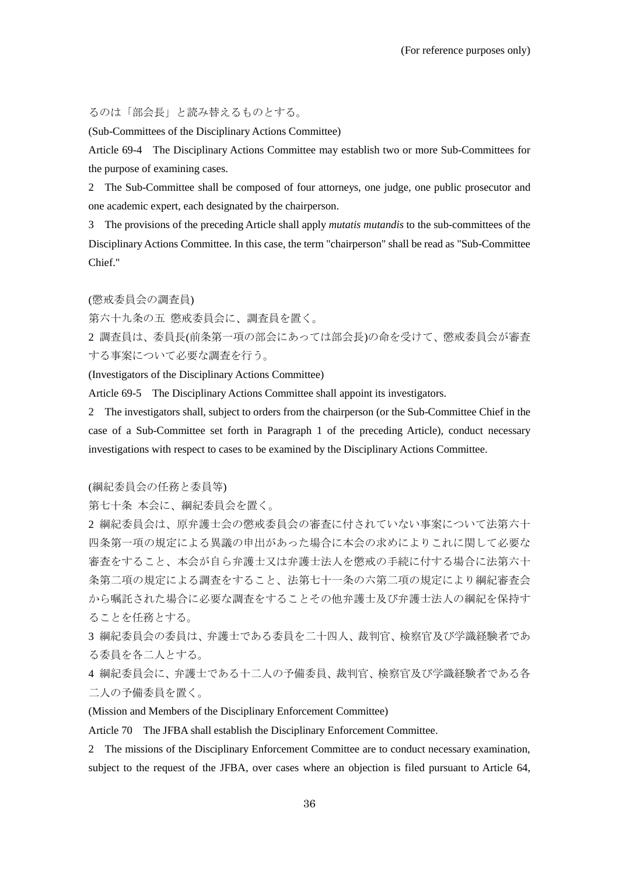るのは「部会長」と読み替えるものとする。

(Sub-Committees of the Disciplinary Actions Committee)

Article 69-4 The Disciplinary Actions Committee may establish two or more Sub-Committees for the purpose of examining cases.

2 The Sub-Committee shall be composed of four attorneys, one judge, one public prosecutor and one academic expert, each designated by the chairperson.

3 The provisions of the preceding Article shall apply *mutatis mutandis* to the sub-committees of the Disciplinary Actions Committee. In this case, the term "chairperson" shall be read as "Sub-Committee Chief."

(懲戒委員会の調査員)

第六十九条の五 懲戒委員会に、調査員を置く。

2 調査員は、委員長(前条第一項の部会にあっては部会長)の命を受けて、懲戒委員会が審査 する事案について必要な調査を行う。

(Investigators of the Disciplinary Actions Committee)

Article 69-5 The Disciplinary Actions Committee shall appoint its investigators.

2 The investigators shall, subject to orders from the chairperson (or the Sub-Committee Chief in the case of a Sub-Committee set forth in Paragraph 1 of the preceding Article), conduct necessary investigations with respect to cases to be examined by the Disciplinary Actions Committee.

(綱紀委員会の任務と委員等)

第七十条 本会に、綱紀委員会を置く。

2 綱紀委員会は、原弁護士会の懲戒委員会の審査に付されていない事案について法第六十 四条第一項の規定による異議の申出があった場合に本会の求めによりこれに関して必要な 審査をすること、本会が自ら弁護士又は弁護士法人を懲戒の手続に付する場合に法第六十 条第二項の規定による調査をすること、法第七十一条の六第二項の規定により綱紀審査会 から嘱託された場合に必要な調査をすることその他弁護士及び弁護士法人の綱紀を保持す ることを任務とする。

3 綱紀委員会の委員は、弁護士である委員を二十四人、裁判官、検察官及び学識経験者であ る委員を各二人とする。

4 綱紀委員会に、弁護士である十二人の予備委員、裁判官、検察官及び学識経験者である各 二人の予備委員を置く。

(Mission and Members of the Disciplinary Enforcement Committee)

Article 70 The JFBA shall establish the Disciplinary Enforcement Committee.

2 The missions of the Disciplinary Enforcement Committee are to conduct necessary examination, subject to the request of the JFBA, over cases where an objection is filed pursuant to Article 64,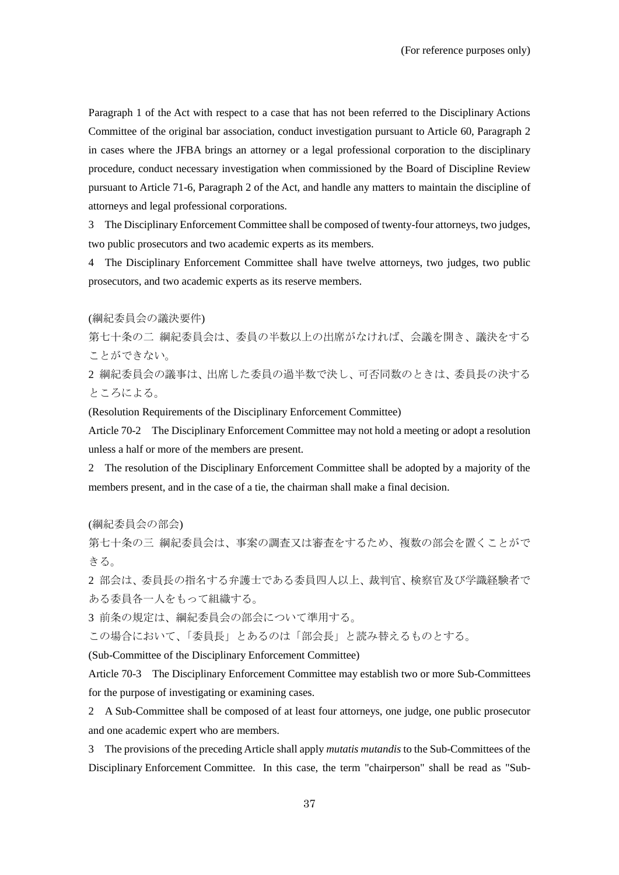Paragraph 1 of the Act with respect to a case that has not been referred to the Disciplinary Actions Committee of the original bar association, conduct investigation pursuant to Article 60, Paragraph 2 in cases where the JFBA brings an attorney or a legal professional corporation to the disciplinary procedure, conduct necessary investigation when commissioned by the Board of Discipline Review pursuant to Article 71-6, Paragraph 2 of the Act, and handle any matters to maintain the discipline of attorneys and legal professional corporations.

3 The Disciplinary Enforcement Committee shall be composed of twenty-four attorneys, two judges, two public prosecutors and two academic experts as its members.

4 The Disciplinary Enforcement Committee shall have twelve attorneys, two judges, two public prosecutors, and two academic experts as its reserve members.

(綱紀委員会の議決要件)

第七十条の二 綱紀委員会は、委員の半数以上の出席がなければ、会議を開き、議決をする ことができない。

2 綱紀委員会の議事は、出席した委員の過半数で決し、可否同数のときは、委員長の決する ところによる。

(Resolution Requirements of the Disciplinary Enforcement Committee)

Article 70-2 The Disciplinary Enforcement Committee may not hold a meeting or adopt a resolution unless a half or more of the members are present.

2 The resolution of the Disciplinary Enforcement Committee shall be adopted by a majority of the members present, and in the case of a tie, the chairman shall make a final decision.

(綱紀委員会の部会)

第七十条の三 綱紀委員会は、事案の調査又は審査をするため、複数の部会を置くことがで きる。

2 部会は、委員長の指名する弁護士である委員四人以上、裁判官、検察官及び学識経験者で ある委員各一人をもって組織する。

3 前条の規定は、綱紀委員会の部会について準用する。

この場合において、「委員長」とあるのは「部会長」と読み替えるものとする。

(Sub-Committee of the Disciplinary Enforcement Committee)

Article 70-3 The Disciplinary Enforcement Committee may establish two or more Sub-Committees for the purpose of investigating or examining cases.

2 A Sub-Committee shall be composed of at least four attorneys, one judge, one public prosecutor and one academic expert who are members.

3 The provisions of the preceding Article shall apply *mutatis mutandis* to the Sub-Committees of the Disciplinary Enforcement Committee. In this case, the term "chairperson" shall be read as "Sub-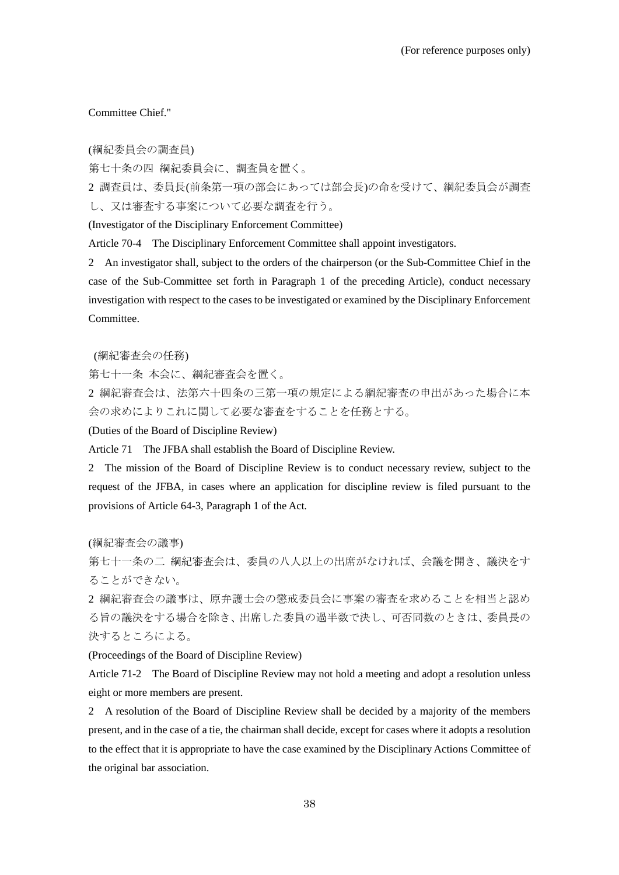# Committee Chief."

(綱紀委員会の調査員)

第七十条の四 綱紀委員会に、調査員を置く。

2 調査員は、委員長(前条第一項の部会にあっては部会長)の命を受けて、綱紀委員会が調査 し、又は審査する事案について必要な調査を行う。

(Investigator of the Disciplinary Enforcement Committee)

Article 70-4 The Disciplinary Enforcement Committee shall appoint investigators.

2 An investigator shall, subject to the orders of the chairperson (or the Sub-Committee Chief in the case of the Sub-Committee set forth in Paragraph 1 of the preceding Article), conduct necessary investigation with respect to the cases to be investigated or examined by the Disciplinary Enforcement Committee.

(綱紀審査会の任務)

第七十一条 本会に、綱紀審査会を置く。

2 綱紀審査会は、法第六十四条の三第一項の規定による綱紀審査の申出があった場合に本 会の求めによりこれに関して必要な審査をすることを任務とする。

(Duties of the Board of Discipline Review)

Article 71 The JFBA shall establish the Board of Discipline Review.

2 The mission of the Board of Discipline Review is to conduct necessary review, subject to the request of the JFBA, in cases where an application for discipline review is filed pursuant to the provisions of Article 64-3, Paragraph 1 of the Act.

(綱紀審査会の議事)

第七十一条の二 綱紀審査会は、委員の八人以上の出席がなければ、会議を開き、議決をす ることができない。

2 綱紀審査会の議事は、原弁護士会の懲戒委員会に事案の審査を求めることを相当と認め る旨の議決をする場合を除き、出席した委員の過半数で決し、可否同数のときは、委員長の 決するところによる。

(Proceedings of the Board of Discipline Review)

Article 71-2 The Board of Discipline Review may not hold a meeting and adopt a resolution unless eight or more members are present.

2 A resolution of the Board of Discipline Review shall be decided by a majority of the members present, and in the case of a tie, the chairman shall decide, except for cases where it adopts a resolution to the effect that it is appropriate to have the case examined by the Disciplinary Actions Committee of the original bar association.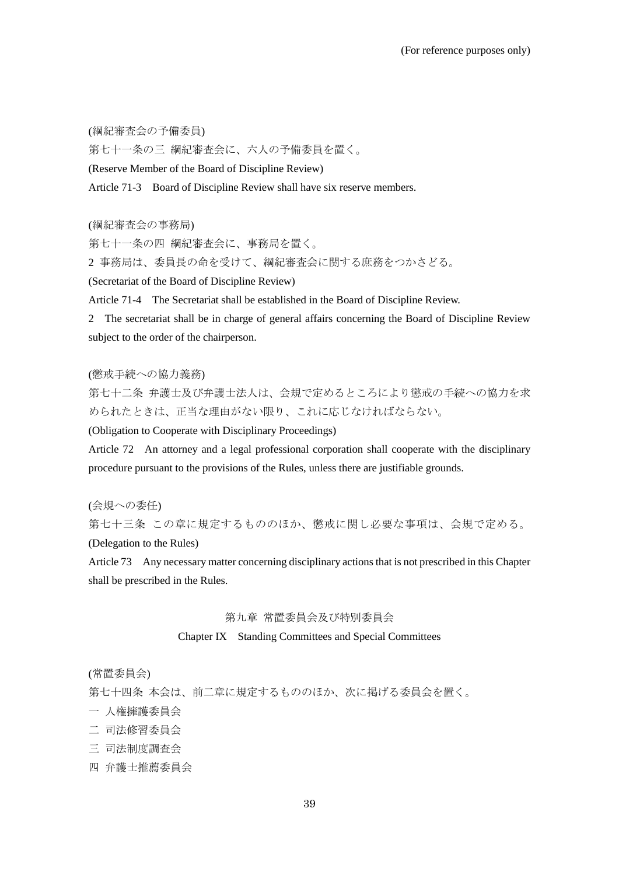(綱紀審査会の予備委員)

第七十一条の三 綱紀審査会に、六人の予備委員を置く。

(Reserve Member of the Board of Discipline Review)

Article 71-3 Board of Discipline Review shall have six reserve members.

(綱紀審査会の事務局)

第七十一条の四 綱紀審査会に、事務局を置く。

2 事務局は、委員長の命を受けて、綱紀審査会に関する庶務をつかさどる。

(Secretariat of the Board of Discipline Review)

Article 71-4 The Secretariat shall be established in the Board of Discipline Review.

2 The secretariat shall be in charge of general affairs concerning the Board of Discipline Review subject to the order of the chairperson.

(懲戒手続への協力義務)

第七十二条 弁護士及び弁護士法人は、会規で定めるところにより懲戒の手続への協力を求 められたときは、正当な理由がない限り、これに応じなければならない。

(Obligation to Cooperate with Disciplinary Proceedings)

Article 72 An attorney and a legal professional corporation shall cooperate with the disciplinary procedure pursuant to the provisions of the Rules, unless there are justifiable grounds.

(会規への委任) 第七十三条 この章に規定するもののほか、懲戒に関し必要な事項は、会規で定める。 (Delegation to the Rules)

Article 73 Any necessary matter concerning disciplinary actions that is not prescribed in this Chapter shall be prescribed in the Rules.

#### 第九章 常置委員会及び特別委員会

#### Chapter IX Standing Committees and Special Committees

(常置委員会)

第七十四条 本会は、前二章に規定するもののほか、次に掲げる委員会を置く。

- 一 人権擁護委員会
- 二 司法修習委員会
- 三 司法制度調査会
- 四 弁護士推薦委員会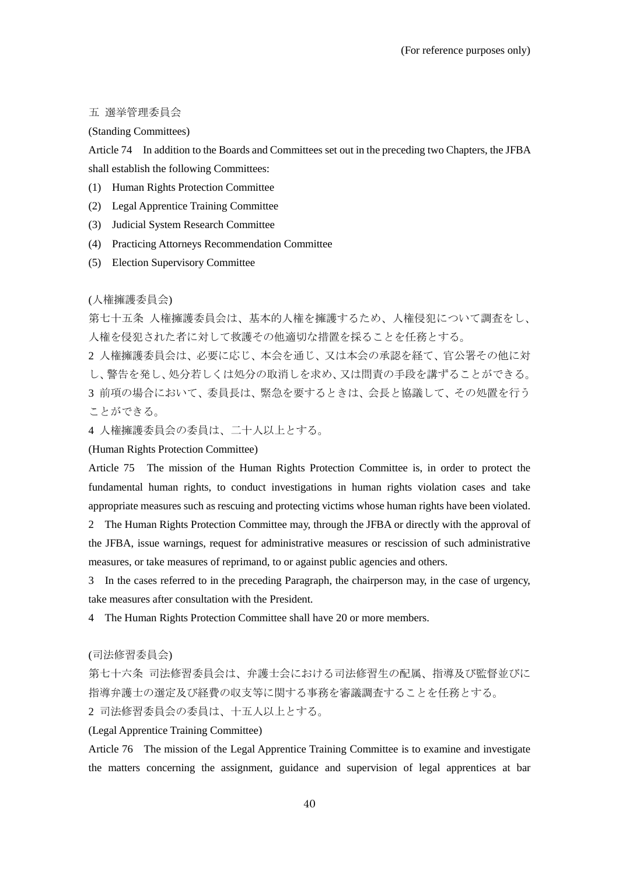# 五 選挙管理委員会

# (Standing Committees)

Article 74 In addition to the Boards and Committees set out in the preceding two Chapters, the JFBA shall establish the following Committees:

- (1) Human Rights Protection Committee
- (2) Legal Apprentice Training Committee
- (3) Judicial System Research Committee
- (4) Practicing Attorneys Recommendation Committee
- (5) Election Supervisory Committee

(人権擁護委員会)

第七十五条 人権擁護委員会は、基本的人権を擁護するため、人権侵犯について調査をし、 人権を侵犯された者に対して救護その他適切な措置を採ることを任務とする。

2 人権擁護委員会は、必要に応じ、本会を通じ、又は本会の承認を経て、官公署その他に対 し、警告を発し、処分若しくは処分の取消しを求め、又は問責の手段を講ずることができる。 3 前項の場合において、委員長は、緊急を要するときは、会長と協議して、その処置を行う ことができる。

4 人権擁護委員会の委員は、二十人以上とする。

(Human Rights Protection Committee)

Article 75 The mission of the Human Rights Protection Committee is, in order to protect the fundamental human rights, to conduct investigations in human rights violation cases and take appropriate measures such as rescuing and protecting victims whose human rights have been violated.

2 The Human Rights Protection Committee may, through the JFBA or directly with the approval of the JFBA, issue warnings, request for administrative measures or rescission of such administrative measures, or take measures of reprimand, to or against public agencies and others.

3 In the cases referred to in the preceding Paragraph, the chairperson may, in the case of urgency, take measures after consultation with the President.

4 The Human Rights Protection Committee shall have 20 or more members.

(司法修習委員会)

第七十六条 司法修習委員会は、弁護士会における司法修習生の配属、指導及び監督並びに 指導弁護士の選定及び経費の収支等に関する事務を審議調査することを任務とする。

2 司法修習委員会の委員は、十五人以上とする。

(Legal Apprentice Training Committee)

Article 76 The mission of the Legal Apprentice Training Committee is to examine and investigate the matters concerning the assignment, guidance and supervision of legal apprentices at bar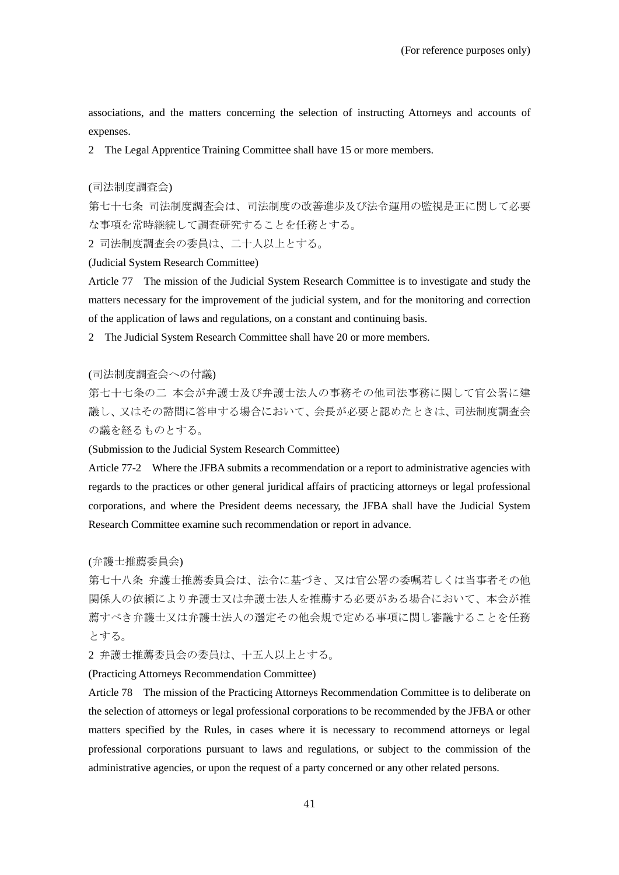associations, and the matters concerning the selection of instructing Attorneys and accounts of expenses.

2 The Legal Apprentice Training Committee shall have 15 or more members.

# (司法制度調査会)

第七十七条 司法制度調査会は、司法制度の改善進歩及び法令運用の監視是正に関して必要 な事項を常時継続して調査研究することを任務とする。

2 司法制度調査会の委員は、二十人以上とする。

(Judicial System Research Committee)

Article 77 The mission of the Judicial System Research Committee is to investigate and study the matters necessary for the improvement of the judicial system, and for the monitoring and correction of the application of laws and regulations, on a constant and continuing basis.

2 The Judicial System Research Committee shall have 20 or more members.

# (司法制度調査会への付議)

第七十七条の二 本会が弁護士及び弁護士法人の事務その他司法事務に関して官公署に建 議し、又はその諮問に答申する場合において、会長が必要と認めたときは、司法制度調査会 の議を経るものとする。

(Submission to the Judicial System Research Committee)

Article 77-2 Where the JFBA submits a recommendation or a report to administrative agencies with regards to the practices or other general juridical affairs of practicing attorneys or legal professional corporations, and where the President deems necessary, the JFBA shall have the Judicial System Research Committee examine such recommendation or report in advance.

(弁護士推薦委員会)

第七十八条 弁護士推薦委員会は、法令に基づき、又は官公署の委嘱若しくは当事者その他 関係人の依頼により弁護士又は弁護士法人を推薦する必要がある場合において、本会が推 薦すべき弁護士又は弁護士法人の選定その他会規で定める事項に関し審議することを任務 とする。

2 弁護士推薦委員会の委員は、十五人以上とする。

(Practicing Attorneys Recommendation Committee)

Article 78 The mission of the Practicing Attorneys Recommendation Committee is to deliberate on the selection of attorneys or legal professional corporations to be recommended by the JFBA or other matters specified by the Rules, in cases where it is necessary to recommend attorneys or legal professional corporations pursuant to laws and regulations, or subject to the commission of the administrative agencies, or upon the request of a party concerned or any other related persons.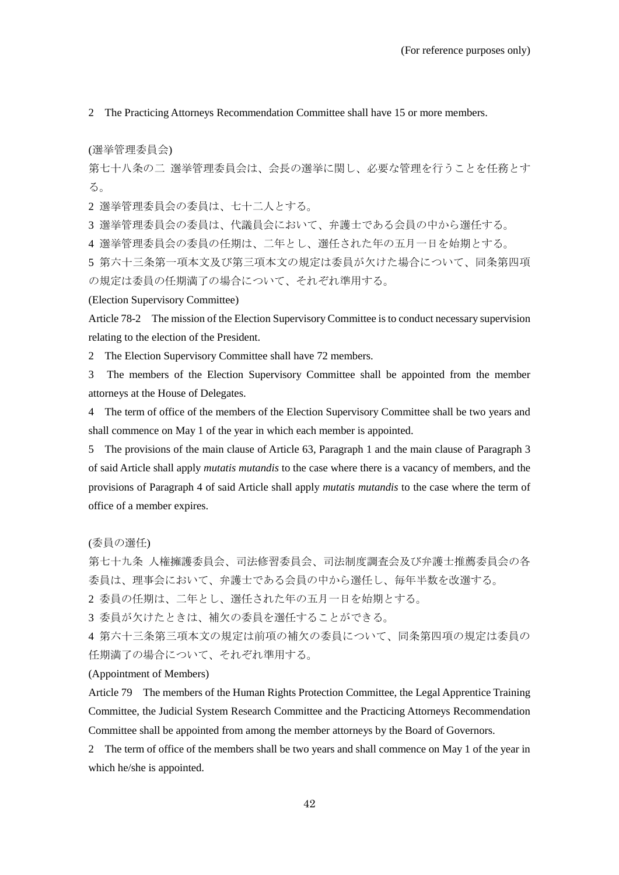2 The Practicing Attorneys Recommendation Committee shall have 15 or more members.

(選挙管理委員会)

第七十八条の二 選挙管理委員会は、会長の選挙に関し、必要な管理を行うことを任務とす る。

2 選挙管理委員会の委員は、七十二人とする。

3 選挙管理委員会の委員は、代議員会において、弁護士である会員の中から選任する。

4 選挙管理委員会の委員の任期は、二年とし、選任された年の五月一日を始期とする。

5 第六十三条第一項本文及び第三項本文の規定は委員が欠けた場合について、同条第四項 の規定は委員の任期満了の場合について、それぞれ準用する。

(Election Supervisory Committee)

Article 78-2 The mission of the Election Supervisory Committee is to conduct necessary supervision relating to the election of the President.

2 The Election Supervisory Committee shall have 72 members.

3 The members of the Election Supervisory Committee shall be appointed from the member attorneys at the House of Delegates.

4 The term of office of the members of the Election Supervisory Committee shall be two years and shall commence on May 1 of the year in which each member is appointed.

5 The provisions of the main clause of Article 63, Paragraph 1 and the main clause of Paragraph 3 of said Article shall apply *mutatis mutandis* to the case where there is a vacancy of members, and the provisions of Paragraph 4 of said Article shall apply *mutatis mutandis* to the case where the term of office of a member expires.

(委員の選任)

第七十九条 人権擁護委員会、司法修習委員会、司法制度調査会及び弁護士推薦委員会の各 委員は、理事会において、弁護士である会員の中から選任し、毎年半数を改選する。

2 委員の任期は、二年とし、選任された年の五月一日を始期とする。

3 委員が欠けたときは、補欠の委員を選任することができる。

4 第六十三条第三項本文の規定は前項の補欠の委員について、同条第四項の規定は委員の 任期満了の場合について、それぞれ準用する。

#### (Appointment of Members)

Article 79 The members of the Human Rights Protection Committee, the Legal Apprentice Training Committee, the Judicial System Research Committee and the Practicing Attorneys Recommendation Committee shall be appointed from among the member attorneys by the Board of Governors.

2 The term of office of the members shall be two years and shall commence on May 1 of the year in which he/she is appointed.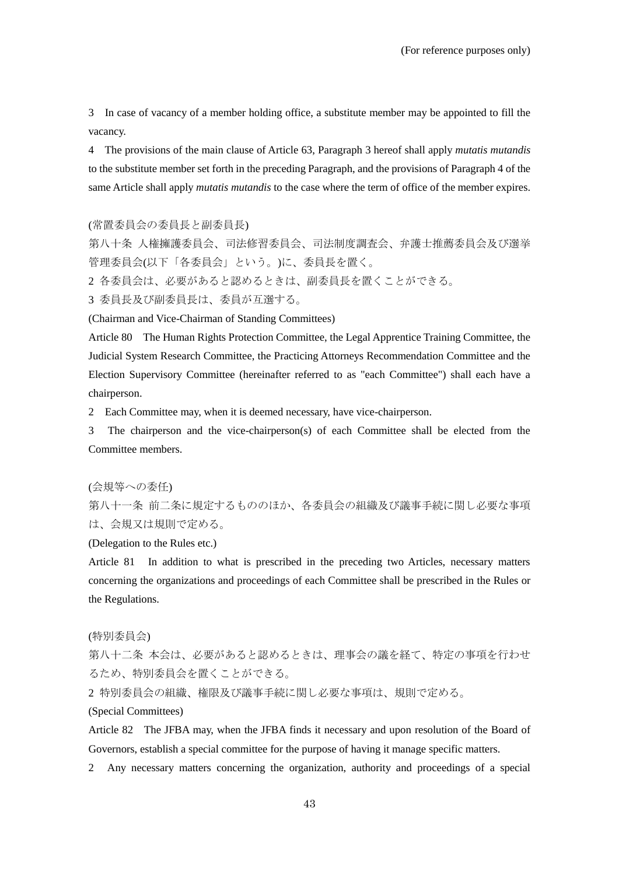3 In case of vacancy of a member holding office, a substitute member may be appointed to fill the vacancy.

4 The provisions of the main clause of Article 63, Paragraph 3 hereof shall apply *mutatis mutandis* to the substitute member set forth in the preceding Paragraph, and the provisions of Paragraph 4 of the same Article shall apply *mutatis mutandis* to the case where the term of office of the member expires.

(常置委員会の委員長と副委員長)

第八十条 人権擁護委員会、司法修習委員会、司法制度調査会、弁護士推薦委員会及び選挙 管理委員会(以下「各委員会」という。)に、委員長を置く。

2 各委員会は、必要があると認めるときは、副委員長を置くことができる。

3 委員長及び副委員長は、委員が互選する。

(Chairman and Vice-Chairman of Standing Committees)

Article 80 The Human Rights Protection Committee, the Legal Apprentice Training Committee, the Judicial System Research Committee, the Practicing Attorneys Recommendation Committee and the Election Supervisory Committee (hereinafter referred to as "each Committee") shall each have a chairperson.

2 Each Committee may, when it is deemed necessary, have vice-chairperson.

3 The chairperson and the vice-chairperson(s) of each Committee shall be elected from the Committee members.

(会規等への委任)

第八十一条 前二条に規定するもののほか、各委員会の組織及び議事手続に関し必要な事項 は、会規又は規則で定める。

(Delegation to the Rules etc.)

Article 81 In addition to what is prescribed in the preceding two Articles, necessary matters concerning the organizations and proceedings of each Committee shall be prescribed in the Rules or the Regulations.

#### (特別委員会)

第八十二条 本会は、必要があると認めるときは、理事会の議を経て、特定の事項を行わせ るため、特別委員会を置くことができる。

2 特別委員会の組織、権限及び議事手続に関し必要な事項は、規則で定める。

# (Special Committees)

Article 82 The JFBA may, when the JFBA finds it necessary and upon resolution of the Board of Governors, establish a special committee for the purpose of having it manage specific matters.

2 Any necessary matters concerning the organization, authority and proceedings of a special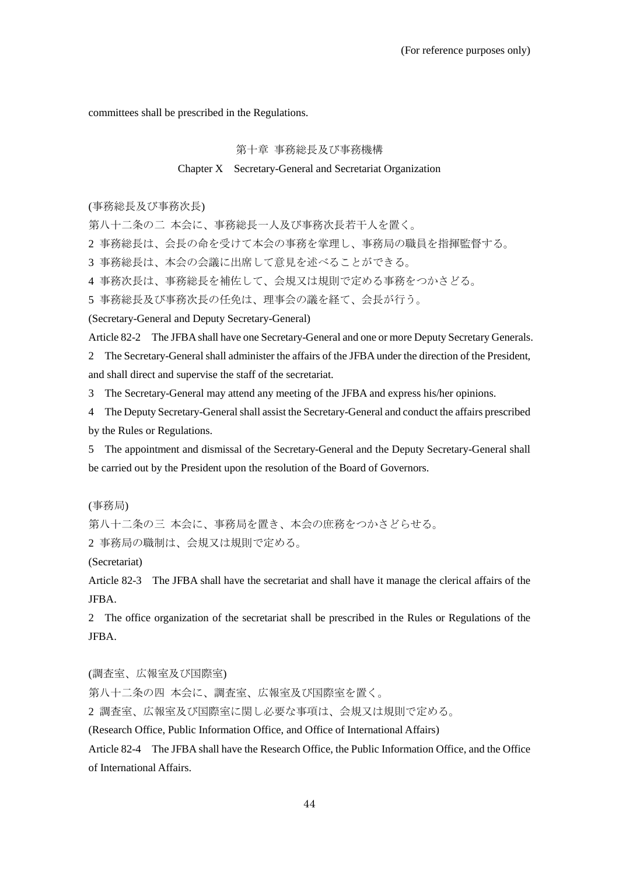committees shall be prescribed in the Regulations.

## 第十章 事務総長及び事務機構

# Chapter X Secretary-General and Secretariat Organization

(事務総長及び事務次長)

第八十二条の二 本会に、事務総長一人及び事務次長若干人を置く。

2 事務総長は、会長の命を受けて本会の事務を掌理し、事務局の職員を指揮監督する。

3 事務総長は、本会の会議に出席して意見を述べることができる。

4 事務次長は、事務総長を補佐して、会規又は規則で定める事務をつかさどる。

5 事務総長及び事務次長の任免は、理事会の議を経て、会長が行う。

(Secretary-General and Deputy Secretary-General)

Article 82-2 The JFBA shall have one Secretary-General and one or more Deputy Secretary Generals.

2 The Secretary-General shall administer the affairs of the JFBA under the direction of the President, and shall direct and supervise the staff of the secretariat.

3 The Secretary-General may attend any meeting of the JFBA and express his/her opinions.

4 The Deputy Secretary-General shall assist the Secretary-General and conduct the affairs prescribed by the Rules or Regulations.

5 The appointment and dismissal of the Secretary-General and the Deputy Secretary-General shall be carried out by the President upon the resolution of the Board of Governors.

(事務局)

第八十二条の三 本会に、事務局を置き、本会の庶務をつかさどらせる。 2 事務局の職制は、会規又は規則で定める。

(Secretariat)

Article 82-3 The JFBA shall have the secretariat and shall have it manage the clerical affairs of the JFBA.

2 The office organization of the secretariat shall be prescribed in the Rules or Regulations of the JFBA.

(調査室、広報室及び国際室)

第八十二条の四 本会に、調査室、広報室及び国際室を置く。

2 調査室、広報室及び国際室に関し必要な事項は、会規又は規則で定める。

(Research Office, Public Information Office, and Office of International Affairs)

Article 82-4 The JFBA shall have the Research Office, the Public Information Office, and the Office of International Affairs.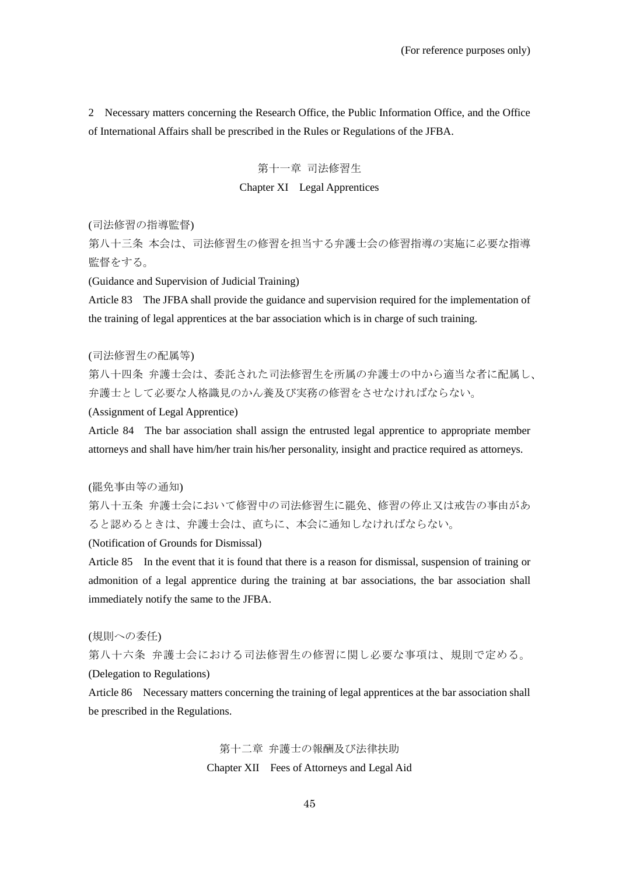2 Necessary matters concerning the Research Office, the Public Information Office, and the Office of International Affairs shall be prescribed in the Rules or Regulations of the JFBA.

# 第十一章 司法修習生 Chapter XI Legal Apprentices

(司法修習の指導監督)

第八十三条 本会は、司法修習生の修習を担当する弁護士会の修習指導の実施に必要な指導 監督をする。

(Guidance and Supervision of Judicial Training)

Article 83 The JFBA shall provide the guidance and supervision required for the implementation of the training of legal apprentices at the bar association which is in charge of such training.

#### (司法修習生の配属等)

第八十四条 弁護士会は、委託された司法修習生を所属の弁護士の中から適当な者に配属し、 弁護士として必要な人格識見のかん養及び実務の修習をさせなければならない。

(Assignment of Legal Apprentice)

Article 84 The bar association shall assign the entrusted legal apprentice to appropriate member attorneys and shall have him/her train his/her personality, insight and practice required as attorneys.

# (罷免事由等の通知)

第八十五条 弁護士会において修習中の司法修習生に罷免、修習の停止又は戒告の事由があ ると認めるときは、弁護士会は、直ちに、本会に通知しなければならない。

(Notification of Grounds for Dismissal)

Article 85 In the event that it is found that there is a reason for dismissal, suspension of training or admonition of a legal apprentice during the training at bar associations, the bar association shall immediately notify the same to the JFBA.

## (規則への委任)

第八十六条 弁護士会における司法修習生の修習に関し必要な事項は、規則で定める。 (Delegation to Regulations)

Article 86 Necessary matters concerning the training of legal apprentices at the bar association shall be prescribed in the Regulations.

> 第十二章 弁護士の報酬及び法律扶助 Chapter XII Fees of Attorneys and Legal Aid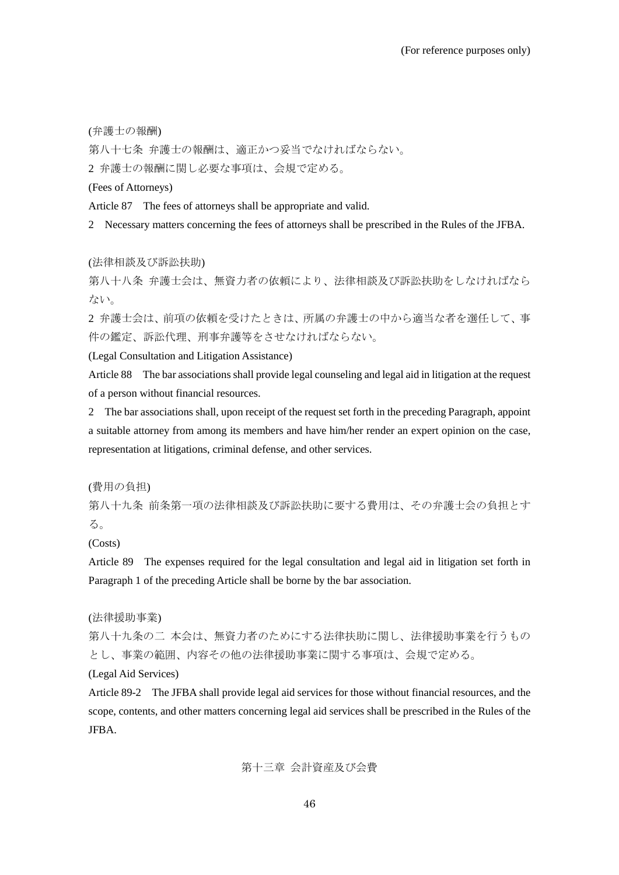(弁護士の報酬)

第八十七条 弁護士の報酬は、適正かつ妥当でなければならない。

2 弁護士の報酬に関し必要な事項は、会規で定める。

(Fees of Attorneys)

Article 87 The fees of attorneys shall be appropriate and valid.

2 Necessary matters concerning the fees of attorneys shall be prescribed in the Rules of the JFBA.

(法律相談及び訴訟扶助)

第八十八条 弁護士会は、無資力者の依頼により、法律相談及び訴訟扶助をしなければなら ない。

2 弁護士会は、前項の依頼を受けたときは、所属の弁護士の中から適当な者を選任して、事 件の鑑定、訴訟代理、刑事弁護等をさせなければならない。

(Legal Consultation and Litigation Assistance)

Article 88 The bar associations shall provide legal counseling and legal aid in litigation at the request of a person without financial resources.

2 The bar associations shall, upon receipt of the request set forth in the preceding Paragraph, appoint a suitable attorney from among its members and have him/her render an expert opinion on the case, representation at litigations, criminal defense, and other services.

(費用の負担)

第八十九条 前条第一項の法律相談及び訴訟扶助に要する費用は、その弁護士会の負担とす る。

(Costs)

Article 89 The expenses required for the legal consultation and legal aid in litigation set forth in Paragraph 1 of the preceding Article shall be borne by the bar association.

(法律援助事業)

第八十九条の二 本会は、無資力者のためにする法律扶助に関し、法律援助事業を行うもの とし、事業の範囲、内容その他の法律援助事業に関する事項は、会規で定める。

(Legal Aid Services)

Article 89-2 The JFBA shall provide legal aid services for those without financial resources, and the scope, contents, and other matters concerning legal aid services shall be prescribed in the Rules of the JFBA.

第十三章 会計資産及び会費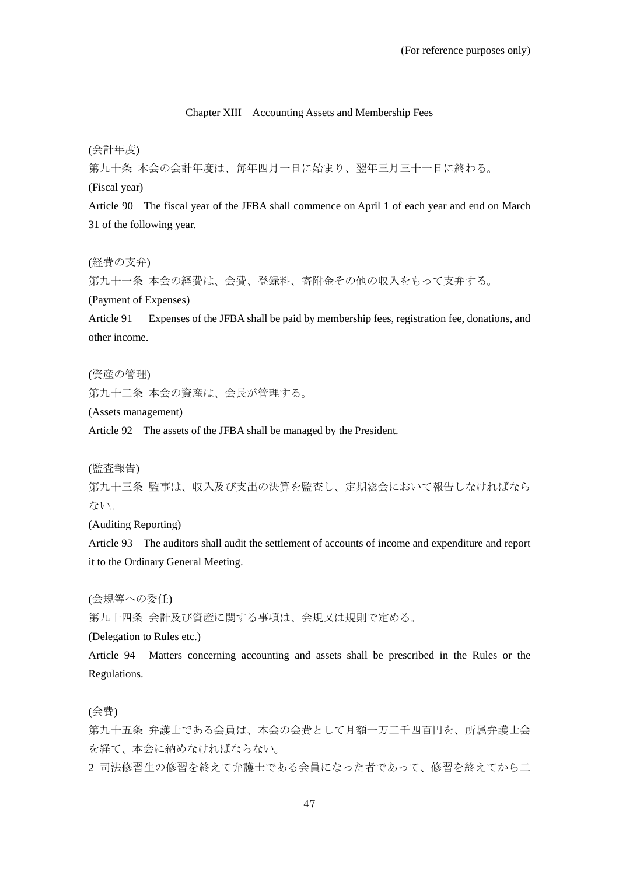## Chapter XIII Accounting Assets and Membership Fees

(会計年度)

第九十条 本会の会計年度は、毎年四月一日に始まり、翌年三月三十一日に終わる。

(Fiscal year)

Article 90 The fiscal year of the JFBA shall commence on April 1 of each year and end on March 31 of the following year.

(経費の支弁)

第九十一条 本会の経費は、会費、登録料、寄附金その他の収入をもって支弁する。

(Payment of Expenses)

Article 91 Expenses of the JFBA shall be paid by membership fees, registration fee, donations, and other income.

(資産の管理)

第九十二条 本会の資産は、会長が管理する。

(Assets management)

Article 92 The assets of the JFBA shall be managed by the President.

(監査報告)

第九十三条 監事は、収入及び支出の決算を監査し、定期総会において報告しなければなら ない。

(Auditing Reporting)

Article 93 The auditors shall audit the settlement of accounts of income and expenditure and report it to the Ordinary General Meeting.

(会規等への委任)

第九十四条 会計及び資産に関する事項は、会規又は規則で定める。

(Delegation to Rules etc.)

Article 94 Matters concerning accounting and assets shall be prescribed in the Rules or the Regulations.

(会費)

第九十五条 弁護士である会員は、本会の会費として月額一万二千四百円を、所属弁護士会 を経て、本会に納めなければならない。

2 司法修習生の修習を終えて弁護士である会員になった者であって、修習を終えてから二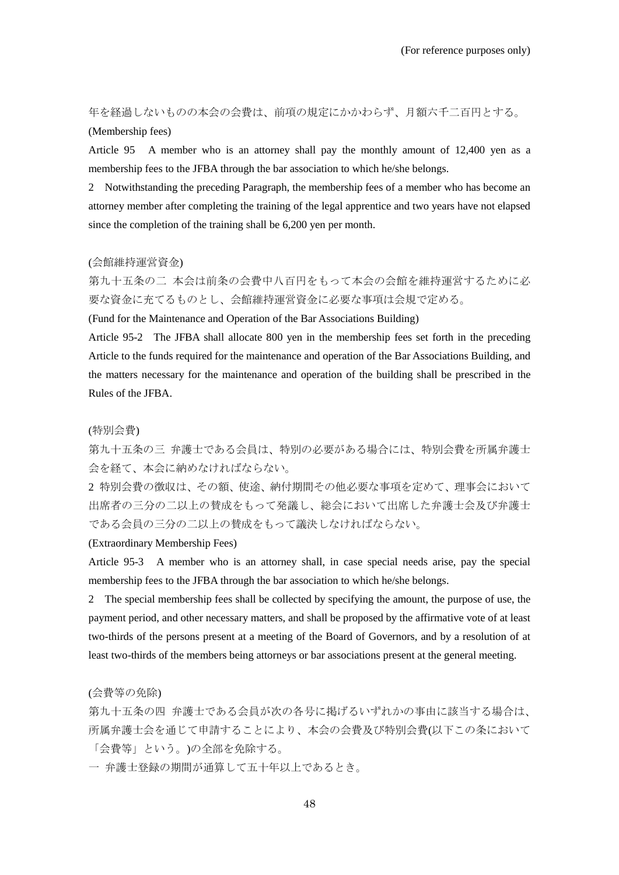年を経過しないものの本会の会費は、前項の規定にかかわらず、月額六千二百円とする。 (Membership fees)

Article 95 A member who is an attorney shall pay the monthly amount of 12,400 yen as a membership fees to the JFBA through the bar association to which he/she belongs.

2 Notwithstanding the preceding Paragraph, the membership fees of a member who has become an attorney member after completing the training of the legal apprentice and two years have not elapsed since the completion of the training shall be 6,200 yen per month.

#### (会館維持運営資金)

第九十五条の二 本会は前条の会費中八百円をもって本会の会館を維持運営するために必 要な資金に充てるものとし、会館維持運営資金に必要な事項は会規で定める。

(Fund for the Maintenance and Operation of the Bar Associations Building)

Article 95-2 The JFBA shall allocate 800 yen in the membership fees set forth in the preceding Article to the funds required for the maintenance and operation of the Bar Associations Building, and the matters necessary for the maintenance and operation of the building shall be prescribed in the Rules of the JFBA.

# (特別会費)

第九十五条の三 弁護士である会員は、特別の必要がある場合には、特別会費を所属弁護士 会を経て、本会に納めなければならない。

2 特別会費の徴収は、その額、使途、納付期間その他必要な事項を定めて、理事会において 出席者の三分の二以上の賛成をもって発議し、総会において出席した弁護士会及び弁護士 である会員の三分の二以上の賛成をもって議決しなければならない。

#### (Extraordinary Membership Fees)

Article 95-3 A member who is an attorney shall, in case special needs arise, pay the special membership fees to the JFBA through the bar association to which he/she belongs.

2 The special membership fees shall be collected by specifying the amount, the purpose of use, the payment period, and other necessary matters, and shall be proposed by the affirmative vote of at least two-thirds of the persons present at a meeting of the Board of Governors, and by a resolution of at least two-thirds of the members being attorneys or bar associations present at the general meeting.

(会費等の免除)

第九十五条の四 弁護士である会員が次の各号に掲げるいずれかの事由に該当する場合は、 所属弁護士会を通じて申請することにより、本会の会費及び特別会費(以下この条において 「会費等」という。)の全部を免除する。

一 弁護士登録の期間が通算して五十年以上であるとき。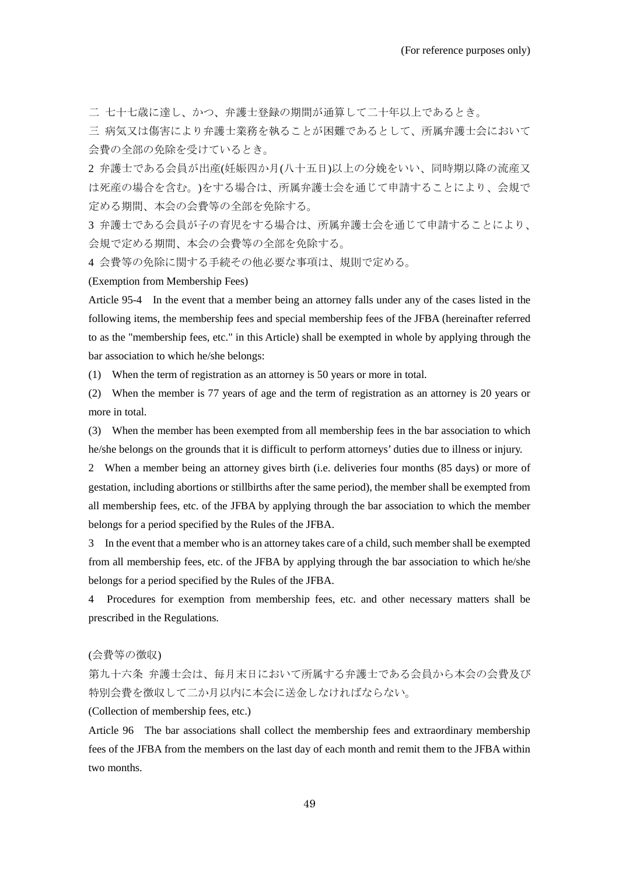二 七十七歳に達し、かつ、弁護士登録の期間が通算して二十年以上であるとき。

三 病気又は傷害により弁護士業務を執ることが困難であるとして、所属弁護士会において 会費の全部の免除を受けているとき。

2 弁護士である会員が出産(妊娠四か月(八十五日)以上の分娩をいい、同時期以降の流産又 は死産の場合を含む。)をする場合は、所属弁護士会を通じて申請することにより、会規で 定める期間、本会の会費等の全部を免除する。

3 弁護士である会員が子の育児をする場合は、所属弁護士会を通じて申請することにより、 会規で定める期間、本会の会費等の全部を免除する。

4 会費等の免除に関する手続その他必要な事項は、規則で定める。

(Exemption from Membership Fees)

Article 95-4 In the event that a member being an attorney falls under any of the cases listed in the following items, the membership fees and special membership fees of the JFBA (hereinafter referred to as the "membership fees, etc." in this Article) shall be exempted in whole by applying through the bar association to which he/she belongs:

(1) When the term of registration as an attorney is 50 years or more in total.

(2) When the member is 77 years of age and the term of registration as an attorney is 20 years or more in total.

(3) When the member has been exempted from all membership fees in the bar association to which he/she belongs on the grounds that it is difficult to perform attorneys' duties due to illness or injury.

2 When a member being an attorney gives birth (i.e. deliveries four months (85 days) or more of gestation, including abortions or stillbirths after the same period), the member shall be exempted from all membership fees, etc. of the JFBA by applying through the bar association to which the member belongs for a period specified by the Rules of the JFBA.

3 In the event that a member who is an attorney takes care of a child, such member shall be exempted from all membership fees, etc. of the JFBA by applying through the bar association to which he/she belongs for a period specified by the Rules of the JFBA.

4 Procedures for exemption from membership fees, etc. and other necessary matters shall be prescribed in the Regulations.

#### (会費等の徴収)

第九十六条 弁護士会は、毎月末日において所属する弁護士である会員から本会の会費及び 特別会費を徴収して二か月以内に本会に送金しなければならない。

(Collection of membership fees, etc.)

Article 96 The bar associations shall collect the membership fees and extraordinary membership fees of the JFBA from the members on the last day of each month and remit them to the JFBA within two months.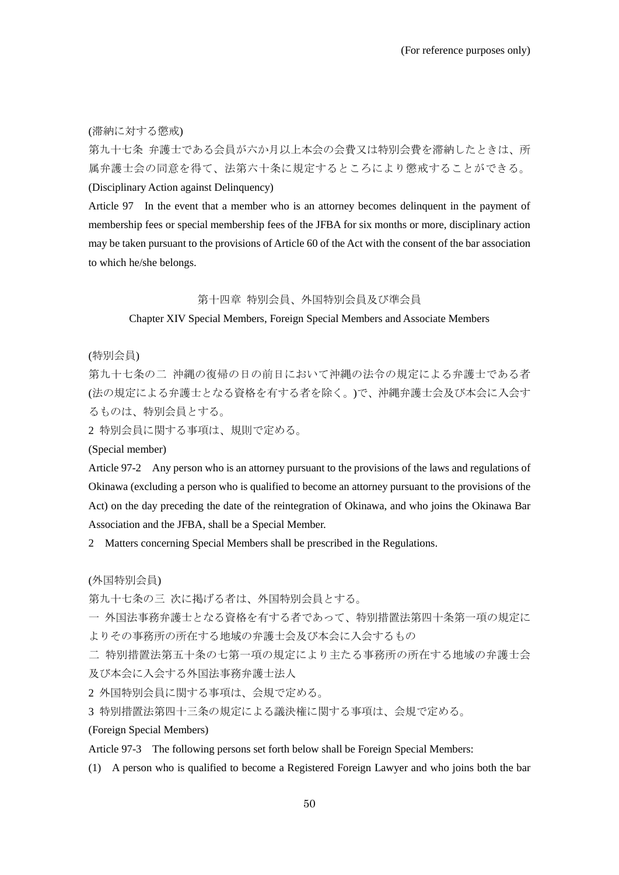(滞納に対する懲戒)

第九十七条 弁護士である会員が六か月以上本会の会費又は特別会費を滞納したときは、所 属弁護士会の同意を得て、法第六十条に規定するところにより懲戒することができる。 (Disciplinary Action against Delinquency)

Article 97 In the event that a member who is an attorney becomes delinquent in the payment of membership fees or special membership fees of the JFBA for six months or more, disciplinary action may be taken pursuant to the provisions of Article 60 of the Act with the consent of the bar association to which he/she belongs.

# 第十四章 特別会員、外国特別会員及び準会員

Chapter XIV Special Members, Foreign Special Members and Associate Members

(特別会員)

第九十七条の二 沖縄の復帰の日の前日において沖縄の法令の規定による弁護士である者 (法の規定による弁護士となる資格を有する者を除く。)で、沖縄弁護士会及び本会に入会す るものは、特別会員とする。

2 特別会員に関する事項は、規則で定める。

(Special member)

Article 97-2 Any person who is an attorney pursuant to the provisions of the laws and regulations of Okinawa (excluding a person who is qualified to become an attorney pursuant to the provisions of the Act) on the day preceding the date of the reintegration of Okinawa, and who joins the Okinawa Bar Association and the JFBA, shall be a Special Member.

2 Matters concerning Special Members shall be prescribed in the Regulations.

(外国特別会員)

第九十七条の三 次に掲げる者は、外国特別会員とする。

一 外国法事務弁護士となる資格を有する者であって、特別措置法第四十条第一項の規定に よりその事務所の所在する地域の弁護士会及び本会に入会するもの

二 特別措置法第五十条の七第一項の規定により主たる事務所の所在する地域の弁護士会 及び本会に入会する外国法事務弁護士法人

2 外国特別会員に関する事項は、会規で定める。

3 特別措置法第四十三条の規定による議決権に関する事項は、会規で定める。

(Foreign Special Members)

Article 97-3 The following persons set forth below shall be Foreign Special Members:

(1) A person who is qualified to become a Registered Foreign Lawyer and who joins both the bar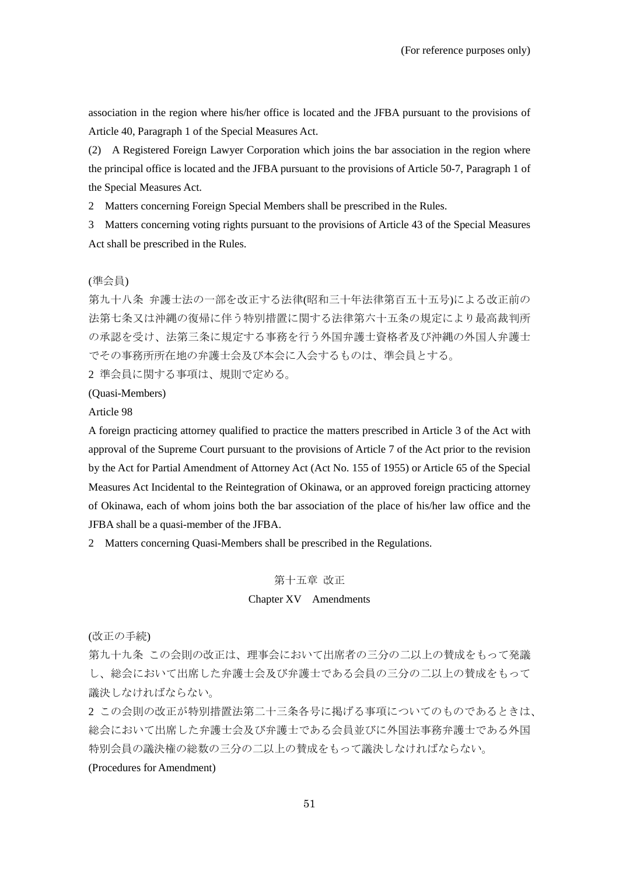association in the region where his/her office is located and the JFBA pursuant to the provisions of Article 40, Paragraph 1 of the Special Measures Act.

(2) A Registered Foreign Lawyer Corporation which joins the bar association in the region where the principal office is located and the JFBA pursuant to the provisions of Article 50-7, Paragraph 1 of the Special Measures Act.

2 Matters concerning Foreign Special Members shall be prescribed in the Rules.

3 Matters concerning voting rights pursuant to the provisions of Article 43 of the Special Measures Act shall be prescribed in the Rules.

# (準会員)

第九十八条 弁護士法の一部を改正する法律(昭和三十年法律第百五十五号)による改正前の 法第七条又は沖縄の復帰に伴う特別措置に関する法律第六十五条の規定により最高裁判所 の承認を受け、法第三条に規定する事務を行う外国弁護士資格者及び沖縄の外国人弁護士 でその事務所所在地の弁護士会及び本会に入会するものは、準会員とする。

2 準会員に関する事項は、規則で定める。

(Quasi-Members)

Article 98

A foreign practicing attorney qualified to practice the matters prescribed in Article 3 of the Act with approval of the Supreme Court pursuant to the provisions of Article 7 of the Act prior to the revision by the Act for Partial Amendment of Attorney Act (Act No. 155 of 1955) or Article 65 of the Special Measures Act Incidental to the Reintegration of Okinawa, or an approved foreign practicing attorney of Okinawa, each of whom joins both the bar association of the place of his/her law office and the JFBA shall be a quasi-member of the JFBA.

2 Matters concerning Quasi-Members shall be prescribed in the Regulations.

# 第十五章 改正

# Chapter XV Amendments

(改正の手続)

第九十九条 この会則の改正は、理事会において出席者の三分の二以上の賛成をもって発議 し、総会において出席した弁護士会及び弁護士である会員の三分の二以上の賛成をもって 議決しなければならない。

2 この会則の改正が特別措置法第二十三条各号に掲げる事項についてのものであるときは、 総会において出席した弁護士会及び弁護士である会員並びに外国法事務弁護士である外国 特別会員の議決権の総数の三分の二以上の賛成をもって議決しなければならない。

# (Procedures for Amendment)